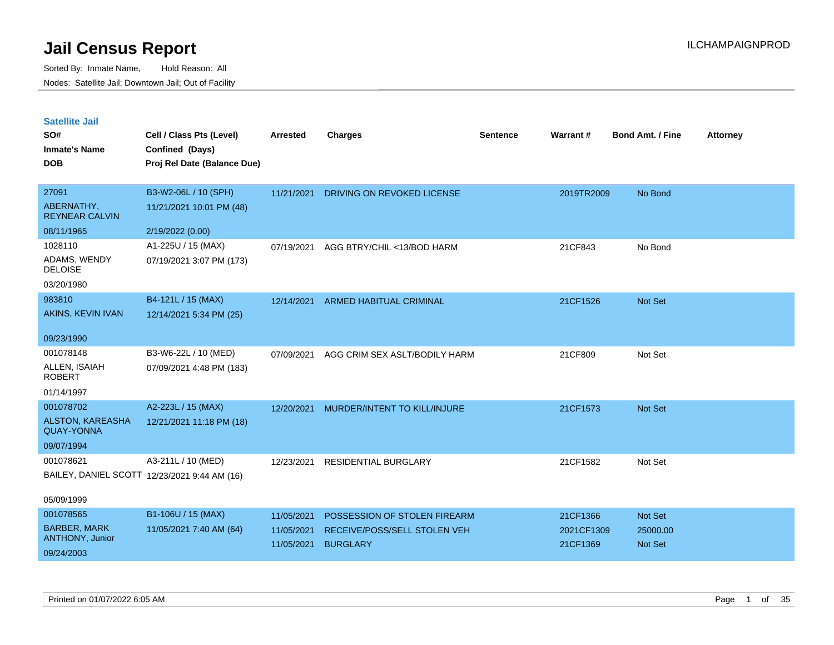| <b>Satellite Jail</b> |  |
|-----------------------|--|
|                       |  |

| SO#<br><b>Inmate's Name</b>                  | Cell / Class Pts (Level)<br>Confined (Days)  | Arrested   | <b>Charges</b>                 | <b>Sentence</b> | Warrant#   | <b>Bond Amt. / Fine</b> | <b>Attorney</b> |
|----------------------------------------------|----------------------------------------------|------------|--------------------------------|-----------------|------------|-------------------------|-----------------|
| <b>DOB</b>                                   | Proj Rel Date (Balance Due)                  |            |                                |                 |            |                         |                 |
| 27091                                        | B3-W2-06L / 10 (SPH)                         | 11/21/2021 | DRIVING ON REVOKED LICENSE     |                 | 2019TR2009 | No Bond                 |                 |
| ABERNATHY,<br><b>REYNEAR CALVIN</b>          | 11/21/2021 10:01 PM (48)                     |            |                                |                 |            |                         |                 |
| 08/11/1965                                   | 2/19/2022 (0.00)                             |            |                                |                 |            |                         |                 |
| 1028110                                      | A1-225U / 15 (MAX)                           | 07/19/2021 | AGG BTRY/CHIL <13/BOD HARM     |                 | 21CF843    | No Bond                 |                 |
| ADAMS, WENDY<br><b>DELOISE</b>               | 07/19/2021 3:07 PM (173)                     |            |                                |                 |            |                         |                 |
| 03/20/1980                                   |                                              |            |                                |                 |            |                         |                 |
| 983810                                       | B4-121L / 15 (MAX)                           | 12/14/2021 | <b>ARMED HABITUAL CRIMINAL</b> |                 | 21CF1526   | Not Set                 |                 |
| AKINS, KEVIN IVAN                            | 12/14/2021 5:34 PM (25)                      |            |                                |                 |            |                         |                 |
| 09/23/1990                                   |                                              |            |                                |                 |            |                         |                 |
| 001078148                                    | B3-W6-22L / 10 (MED)                         | 07/09/2021 | AGG CRIM SEX ASLT/BODILY HARM  |                 | 21CF809    | Not Set                 |                 |
| ALLEN, ISAIAH<br><b>ROBERT</b>               | 07/09/2021 4:48 PM (183)                     |            |                                |                 |            |                         |                 |
| 01/14/1997                                   |                                              |            |                                |                 |            |                         |                 |
| 001078702                                    | A2-223L / 15 (MAX)                           | 12/20/2021 | MURDER/INTENT TO KILL/INJURE   |                 | 21CF1573   | Not Set                 |                 |
| <b>ALSTON, KAREASHA</b><br><b>QUAY-YONNA</b> | 12/21/2021 11:18 PM (18)                     |            |                                |                 |            |                         |                 |
| 09/07/1994                                   |                                              |            |                                |                 |            |                         |                 |
| 001078621                                    | A3-211L / 10 (MED)                           | 12/23/2021 | RESIDENTIAL BURGLARY           |                 | 21CF1582   | Not Set                 |                 |
|                                              | BAILEY, DANIEL SCOTT 12/23/2021 9:44 AM (16) |            |                                |                 |            |                         |                 |
| 05/09/1999                                   |                                              |            |                                |                 |            |                         |                 |
| 001078565                                    | B1-106U / 15 (MAX)                           | 11/05/2021 | POSSESSION OF STOLEN FIREARM   |                 | 21CF1366   | Not Set                 |                 |
| <b>BARBER, MARK</b>                          | 11/05/2021 7:40 AM (64)                      | 11/05/2021 | RECEIVE/POSS/SELL STOLEN VEH   |                 | 2021CF1309 | 25000.00                |                 |
| ANTHONY, Junior<br>09/24/2003                |                                              | 11/05/2021 | <b>BURGLARY</b>                |                 | 21CF1369   | <b>Not Set</b>          |                 |
|                                              |                                              |            |                                |                 |            |                         |                 |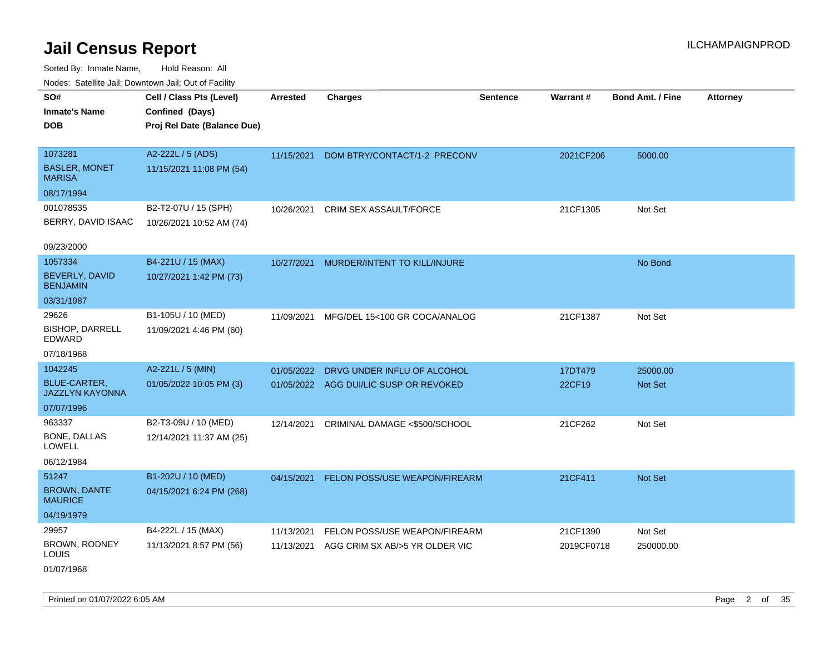Sorted By: Inmate Name, Hold Reason: All Nodes: Satellite Jail; Downtown Jail; Out of Facility

| ivuutos. Saltiilit Jall, Duwilluwii Jall, Oul of Facility |                             |            |                                        |                 |            |                         |                 |
|-----------------------------------------------------------|-----------------------------|------------|----------------------------------------|-----------------|------------|-------------------------|-----------------|
| SO#                                                       | Cell / Class Pts (Level)    | Arrested   | <b>Charges</b>                         | <b>Sentence</b> | Warrant#   | <b>Bond Amt. / Fine</b> | <b>Attorney</b> |
| <b>Inmate's Name</b>                                      | Confined (Days)             |            |                                        |                 |            |                         |                 |
| <b>DOB</b>                                                | Proj Rel Date (Balance Due) |            |                                        |                 |            |                         |                 |
|                                                           |                             |            |                                        |                 |            |                         |                 |
| 1073281                                                   | A2-222L / 5 (ADS)           | 11/15/2021 | DOM BTRY/CONTACT/1-2 PRECONV           |                 | 2021CF206  | 5000.00                 |                 |
| <b>BASLER, MONET</b><br><b>MARISA</b>                     | 11/15/2021 11:08 PM (54)    |            |                                        |                 |            |                         |                 |
| 08/17/1994                                                |                             |            |                                        |                 |            |                         |                 |
| 001078535                                                 | B2-T2-07U / 15 (SPH)        | 10/26/2021 | CRIM SEX ASSAULT/FORCE                 |                 | 21CF1305   | Not Set                 |                 |
| BERRY, DAVID ISAAC                                        | 10/26/2021 10:52 AM (74)    |            |                                        |                 |            |                         |                 |
|                                                           |                             |            |                                        |                 |            |                         |                 |
| 09/23/2000                                                |                             |            |                                        |                 |            |                         |                 |
| 1057334                                                   | B4-221U / 15 (MAX)          | 10/27/2021 | MURDER/INTENT TO KILL/INJURE           |                 |            | No Bond                 |                 |
| BEVERLY, DAVID<br><b>BENJAMIN</b>                         | 10/27/2021 1:42 PM (73)     |            |                                        |                 |            |                         |                 |
| 03/31/1987                                                |                             |            |                                        |                 |            |                         |                 |
| 29626                                                     | B1-105U / 10 (MED)          | 11/09/2021 | MFG/DEL 15<100 GR COCA/ANALOG          |                 | 21CF1387   | Not Set                 |                 |
| <b>BISHOP, DARRELL</b><br>EDWARD                          | 11/09/2021 4:46 PM (60)     |            |                                        |                 |            |                         |                 |
| 07/18/1968                                                |                             |            |                                        |                 |            |                         |                 |
| 1042245                                                   | A2-221L / 5 (MIN)           | 01/05/2022 | DRVG UNDER INFLU OF ALCOHOL            |                 | 17DT479    | 25000.00                |                 |
| <b>BLUE-CARTER,</b><br><b>JAZZLYN KAYONNA</b>             | 01/05/2022 10:05 PM (3)     |            | 01/05/2022 AGG DUI/LIC SUSP OR REVOKED |                 | 22CF19     | <b>Not Set</b>          |                 |
| 07/07/1996                                                |                             |            |                                        |                 |            |                         |                 |
| 963337                                                    | B2-T3-09U / 10 (MED)        | 12/14/2021 | CRIMINAL DAMAGE <\$500/SCHOOL          |                 | 21CF262    | Not Set                 |                 |
| BONE, DALLAS<br><b>LOWELL</b>                             | 12/14/2021 11:37 AM (25)    |            |                                        |                 |            |                         |                 |
| 06/12/1984                                                |                             |            |                                        |                 |            |                         |                 |
| 51247                                                     | B1-202U / 10 (MED)          | 04/15/2021 | FELON POSS/USE WEAPON/FIREARM          |                 | 21CF411    | Not Set                 |                 |
| <b>BROWN, DANTE</b><br><b>MAURICE</b>                     | 04/15/2021 6:24 PM (268)    |            |                                        |                 |            |                         |                 |
| 04/19/1979                                                |                             |            |                                        |                 |            |                         |                 |
| 29957                                                     | B4-222L / 15 (MAX)          | 11/13/2021 | FELON POSS/USE WEAPON/FIREARM          |                 | 21CF1390   | Not Set                 |                 |
| BROWN, RODNEY<br><b>LOUIS</b>                             | 11/13/2021 8:57 PM (56)     | 11/13/2021 | AGG CRIM SX AB/>5 YR OLDER VIC         |                 | 2019CF0718 | 250000.00               |                 |
| 01/07/1968                                                |                             |            |                                        |                 |            |                         |                 |

Printed on 01/07/2022 6:05 AM Page 2 of 35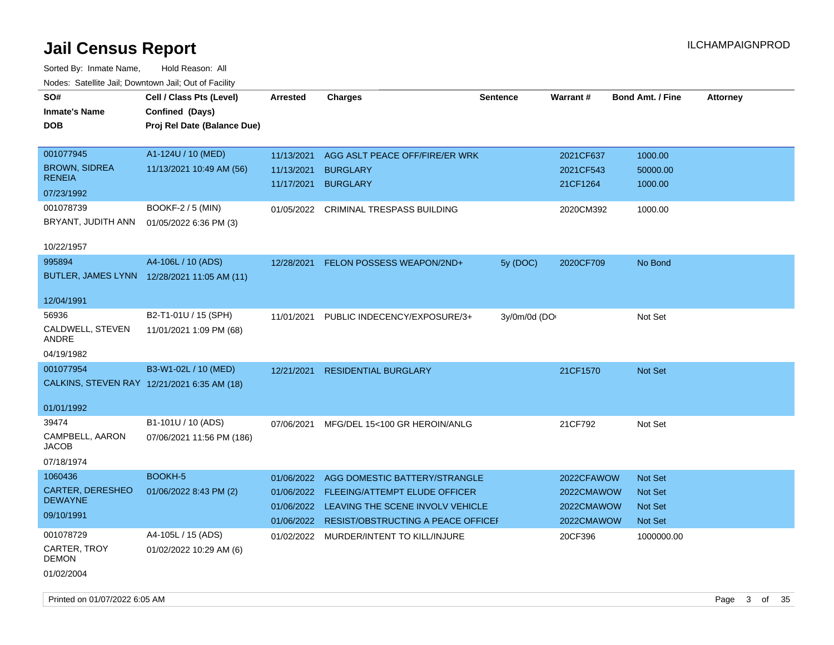| ivouss. Satellite Jali, Downtown Jali, Out of Facility |                                             |                 |                                               |                 |            |                         |                 |
|--------------------------------------------------------|---------------------------------------------|-----------------|-----------------------------------------------|-----------------|------------|-------------------------|-----------------|
| SO#                                                    | Cell / Class Pts (Level)                    | <b>Arrested</b> | <b>Charges</b>                                | <b>Sentence</b> | Warrant#   | <b>Bond Amt. / Fine</b> | <b>Attorney</b> |
| <b>Inmate's Name</b>                                   | Confined (Days)                             |                 |                                               |                 |            |                         |                 |
| <b>DOB</b>                                             | Proj Rel Date (Balance Due)                 |                 |                                               |                 |            |                         |                 |
|                                                        |                                             |                 |                                               |                 |            |                         |                 |
| 001077945                                              | A1-124U / 10 (MED)                          | 11/13/2021      | AGG ASLT PEACE OFF/FIRE/ER WRK                |                 | 2021CF637  | 1000.00                 |                 |
| <b>BROWN, SIDREA</b>                                   | 11/13/2021 10:49 AM (56)                    | 11/13/2021      | <b>BURGLARY</b>                               |                 | 2021CF543  | 50000.00                |                 |
| <b>RENEIA</b>                                          |                                             | 11/17/2021      | <b>BURGLARY</b>                               |                 | 21CF1264   | 1000.00                 |                 |
| 07/23/1992                                             |                                             |                 |                                               |                 |            |                         |                 |
| 001078739                                              | <b>BOOKF-2 / 5 (MIN)</b>                    |                 | 01/05/2022 CRIMINAL TRESPASS BUILDING         |                 | 2020CM392  | 1000.00                 |                 |
| BRYANT, JUDITH ANN                                     | 01/05/2022 6:36 PM (3)                      |                 |                                               |                 |            |                         |                 |
|                                                        |                                             |                 |                                               |                 |            |                         |                 |
| 10/22/1957                                             |                                             |                 |                                               |                 |            |                         |                 |
| 995894                                                 | A4-106L / 10 (ADS)                          | 12/28/2021      | FELON POSSESS WEAPON/2ND+                     | 5y (DOC)        | 2020CF709  | No Bond                 |                 |
|                                                        | BUTLER, JAMES LYNN 12/28/2021 11:05 AM (11) |                 |                                               |                 |            |                         |                 |
| 12/04/1991                                             |                                             |                 |                                               |                 |            |                         |                 |
|                                                        |                                             |                 |                                               |                 |            |                         |                 |
| 56936                                                  | B2-T1-01U / 15 (SPH)                        | 11/01/2021      | PUBLIC INDECENCY/EXPOSURE/3+                  | 3y/0m/0d (DO    |            | Not Set                 |                 |
| CALDWELL, STEVEN<br>ANDRE                              | 11/01/2021 1:09 PM (68)                     |                 |                                               |                 |            |                         |                 |
| 04/19/1982                                             |                                             |                 |                                               |                 |            |                         |                 |
| 001077954                                              | B3-W1-02L / 10 (MED)                        | 12/21/2021      | <b>RESIDENTIAL BURGLARY</b>                   |                 | 21CF1570   | <b>Not Set</b>          |                 |
| CALKINS, STEVEN RAY 12/21/2021 6:35 AM (18)            |                                             |                 |                                               |                 |            |                         |                 |
|                                                        |                                             |                 |                                               |                 |            |                         |                 |
| 01/01/1992                                             |                                             |                 |                                               |                 |            |                         |                 |
| 39474                                                  | B1-101U / 10 (ADS)                          | 07/06/2021      | MFG/DEL 15<100 GR HEROIN/ANLG                 |                 | 21CF792    | Not Set                 |                 |
| CAMPBELL, AARON                                        | 07/06/2021 11:56 PM (186)                   |                 |                                               |                 |            |                         |                 |
| <b>JACOB</b>                                           |                                             |                 |                                               |                 |            |                         |                 |
| 07/18/1974                                             |                                             |                 |                                               |                 |            |                         |                 |
| 1060436                                                | BOOKH-5                                     | 01/06/2022      | AGG DOMESTIC BATTERY/STRANGLE                 |                 | 2022CFAWOW | <b>Not Set</b>          |                 |
| CARTER, DERESHEO                                       | 01/06/2022 8:43 PM (2)                      | 01/06/2022      | FLEEING/ATTEMPT ELUDE OFFICER                 |                 | 2022CMAWOW | Not Set                 |                 |
| <b>DEWAYNE</b>                                         |                                             | 01/06/2022      | LEAVING THE SCENE INVOLV VEHICLE              |                 | 2022CMAWOW | Not Set                 |                 |
| 09/10/1991                                             |                                             |                 | 01/06/2022 RESIST/OBSTRUCTING A PEACE OFFICEF |                 | 2022CMAWOW | Not Set                 |                 |
| 001078729                                              | A4-105L / 15 (ADS)                          |                 | 01/02/2022 MURDER/INTENT TO KILL/INJURE       |                 | 20CF396    | 1000000.00              |                 |
| CARTER, TROY                                           | 01/02/2022 10:29 AM (6)                     |                 |                                               |                 |            |                         |                 |
| <b>DEMON</b>                                           |                                             |                 |                                               |                 |            |                         |                 |
| 01/02/2004                                             |                                             |                 |                                               |                 |            |                         |                 |
|                                                        |                                             |                 |                                               |                 |            |                         |                 |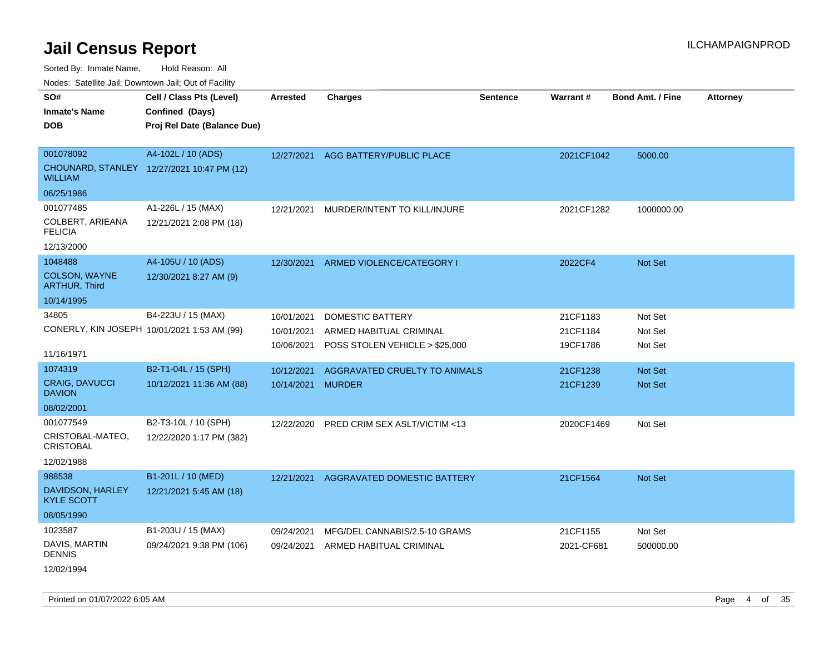Sorted By: Inmate Name, Hold Reason: All

Nodes: Satellite Jail; Downtown Jail; Out of Facility

| rouco. Calcillo Jali, Downtown Jali, Out of Facility |                                            |                 |                                     |                 |            |                         |                 |
|------------------------------------------------------|--------------------------------------------|-----------------|-------------------------------------|-----------------|------------|-------------------------|-----------------|
| SO#                                                  | Cell / Class Pts (Level)                   | <b>Arrested</b> | <b>Charges</b>                      | <b>Sentence</b> | Warrant#   | <b>Bond Amt. / Fine</b> | <b>Attorney</b> |
| <b>Inmate's Name</b>                                 | Confined (Days)                            |                 |                                     |                 |            |                         |                 |
| <b>DOB</b>                                           | Proj Rel Date (Balance Due)                |                 |                                     |                 |            |                         |                 |
|                                                      |                                            |                 |                                     |                 |            |                         |                 |
| 001078092                                            | A4-102L / 10 (ADS)                         |                 | 12/27/2021 AGG BATTERY/PUBLIC PLACE |                 | 2021CF1042 | 5000.00                 |                 |
| <b>WILLIAM</b>                                       | CHOUNARD, STANLEY 12/27/2021 10:47 PM (12) |                 |                                     |                 |            |                         |                 |
| 06/25/1986                                           |                                            |                 |                                     |                 |            |                         |                 |
| 001077485                                            | A1-226L / 15 (MAX)                         | 12/21/2021      | MURDER/INTENT TO KILL/INJURE        |                 | 2021CF1282 | 1000000.00              |                 |
| COLBERT, ARIEANA<br><b>FELICIA</b>                   | 12/21/2021 2:08 PM (18)                    |                 |                                     |                 |            |                         |                 |
| 12/13/2000                                           |                                            |                 |                                     |                 |            |                         |                 |
| 1048488                                              | A4-105U / 10 (ADS)                         | 12/30/2021      | ARMED VIOLENCE/CATEGORY I           |                 | 2022CF4    | Not Set                 |                 |
| <b>COLSON, WAYNE</b><br><b>ARTHUR, Third</b>         | 12/30/2021 8:27 AM (9)                     |                 |                                     |                 |            |                         |                 |
| 10/14/1995                                           |                                            |                 |                                     |                 |            |                         |                 |
| 34805                                                | B4-223U / 15 (MAX)                         | 10/01/2021      | DOMESTIC BATTERY                    |                 | 21CF1183   | Not Set                 |                 |
| CONERLY, KIN JOSEPH 10/01/2021 1:53 AM (99)          |                                            | 10/01/2021      | ARMED HABITUAL CRIMINAL             |                 | 21CF1184   | Not Set                 |                 |
|                                                      |                                            | 10/06/2021      | POSS STOLEN VEHICLE > \$25,000      |                 | 19CF1786   | Not Set                 |                 |
| 11/16/1971                                           |                                            |                 |                                     |                 |            |                         |                 |
| 1074319                                              | B2-T1-04L / 15 (SPH)                       | 10/12/2021      | AGGRAVATED CRUELTY TO ANIMALS       |                 | 21CF1238   | <b>Not Set</b>          |                 |
| <b>CRAIG, DAVUCCI</b><br><b>DAVION</b>               | 10/12/2021 11:36 AM (88)                   | 10/14/2021      | <b>MURDER</b>                       |                 | 21CF1239   | Not Set                 |                 |
| 08/02/2001                                           |                                            |                 |                                     |                 |            |                         |                 |
| 001077549                                            | B2-T3-10L / 10 (SPH)                       | 12/22/2020      | PRED CRIM SEX ASLT/VICTIM <13       |                 | 2020CF1469 | Not Set                 |                 |
| CRISTOBAL-MATEO,<br><b>CRISTOBAL</b>                 | 12/22/2020 1:17 PM (382)                   |                 |                                     |                 |            |                         |                 |
| 12/02/1988                                           |                                            |                 |                                     |                 |            |                         |                 |
| 988538                                               | B1-201L / 10 (MED)                         | 12/21/2021      | AGGRAVATED DOMESTIC BATTERY         |                 | 21CF1564   | <b>Not Set</b>          |                 |
| DAVIDSON, HARLEY<br><b>KYLE SCOTT</b>                | 12/21/2021 5:45 AM (18)                    |                 |                                     |                 |            |                         |                 |
| 08/05/1990                                           |                                            |                 |                                     |                 |            |                         |                 |
| 1023587                                              | B1-203U / 15 (MAX)                         | 09/24/2021      | MFG/DEL CANNABIS/2.5-10 GRAMS       |                 | 21CF1155   | Not Set                 |                 |
| DAVIS, MARTIN<br><b>DENNIS</b>                       | 09/24/2021 9:38 PM (106)                   | 09/24/2021      | ARMED HABITUAL CRIMINAL             |                 | 2021-CF681 | 500000.00               |                 |
| 12/02/1994                                           |                                            |                 |                                     |                 |            |                         |                 |

Printed on 01/07/2022 6:05 AM Page 4 of 35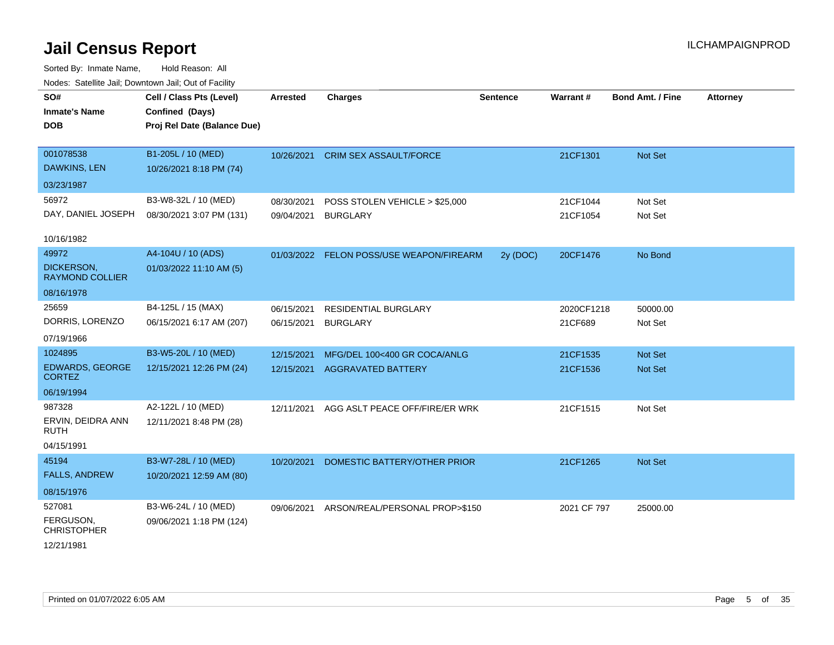| SO#<br><b>Inmate's Name</b><br><b>DOB</b> | Cell / Class Pts (Level)<br>Confined (Days)<br>Proj Rel Date (Balance Due) | <b>Arrested</b> | Charges                                  | <b>Sentence</b> | <b>Warrant#</b> | <b>Bond Amt. / Fine</b> | <b>Attorney</b> |
|-------------------------------------------|----------------------------------------------------------------------------|-----------------|------------------------------------------|-----------------|-----------------|-------------------------|-----------------|
|                                           |                                                                            |                 |                                          |                 |                 |                         |                 |
| 001078538                                 | B1-205L / 10 (MED)                                                         | 10/26/2021      | <b>CRIM SEX ASSAULT/FORCE</b>            |                 | 21CF1301        | Not Set                 |                 |
| DAWKINS, LEN                              | 10/26/2021 8:18 PM (74)                                                    |                 |                                          |                 |                 |                         |                 |
| 03/23/1987                                |                                                                            |                 |                                          |                 |                 |                         |                 |
| 56972                                     | B3-W8-32L / 10 (MED)                                                       | 08/30/2021      | POSS STOLEN VEHICLE > \$25,000           |                 | 21CF1044        | Not Set                 |                 |
| DAY, DANIEL JOSEPH                        | 08/30/2021 3:07 PM (131)                                                   | 09/04/2021      | <b>BURGLARY</b>                          |                 | 21CF1054        | Not Set                 |                 |
| 10/16/1982                                |                                                                            |                 |                                          |                 |                 |                         |                 |
| 49972                                     | A4-104U / 10 (ADS)                                                         |                 | 01/03/2022 FELON POSS/USE WEAPON/FIREARM | 2y (DOC)        | 20CF1476        | No Bond                 |                 |
| DICKERSON,<br><b>RAYMOND COLLIER</b>      | 01/03/2022 11:10 AM (5)                                                    |                 |                                          |                 |                 |                         |                 |
| 08/16/1978                                |                                                                            |                 |                                          |                 |                 |                         |                 |
| 25659                                     | B4-125L / 15 (MAX)                                                         | 06/15/2021      | <b>RESIDENTIAL BURGLARY</b>              |                 | 2020CF1218      | 50000.00                |                 |
| DORRIS, LORENZO                           | 06/15/2021 6:17 AM (207)                                                   | 06/15/2021      | <b>BURGLARY</b>                          |                 | 21CF689         | Not Set                 |                 |
| 07/19/1966                                |                                                                            |                 |                                          |                 |                 |                         |                 |
| 1024895                                   | B3-W5-20L / 10 (MED)                                                       | 12/15/2021      | MFG/DEL 100<400 GR COCA/ANLG             |                 | 21CF1535        | Not Set                 |                 |
| <b>EDWARDS, GEORGE</b><br><b>CORTEZ</b>   | 12/15/2021 12:26 PM (24)                                                   | 12/15/2021      | <b>AGGRAVATED BATTERY</b>                |                 | 21CF1536        | Not Set                 |                 |
| 06/19/1994                                |                                                                            |                 |                                          |                 |                 |                         |                 |
| 987328                                    | A2-122L / 10 (MED)                                                         | 12/11/2021      | AGG ASLT PEACE OFF/FIRE/ER WRK           |                 | 21CF1515        | Not Set                 |                 |
| ERVIN, DEIDRA ANN<br><b>RUTH</b>          | 12/11/2021 8:48 PM (28)                                                    |                 |                                          |                 |                 |                         |                 |
| 04/15/1991                                |                                                                            |                 |                                          |                 |                 |                         |                 |
| 45194                                     | B3-W7-28L / 10 (MED)                                                       | 10/20/2021      | DOMESTIC BATTERY/OTHER PRIOR             |                 | 21CF1265        | Not Set                 |                 |
| <b>FALLS, ANDREW</b>                      | 10/20/2021 12:59 AM (80)                                                   |                 |                                          |                 |                 |                         |                 |
| 08/15/1976                                |                                                                            |                 |                                          |                 |                 |                         |                 |
| 527081                                    | B3-W6-24L / 10 (MED)                                                       | 09/06/2021      | ARSON/REAL/PERSONAL PROP>\$150           |                 | 2021 CF 797     | 25000.00                |                 |
| FERGUSON,<br><b>CHRISTOPHER</b>           | 09/06/2021 1:18 PM (124)                                                   |                 |                                          |                 |                 |                         |                 |
| 12/21/1981                                |                                                                            |                 |                                          |                 |                 |                         |                 |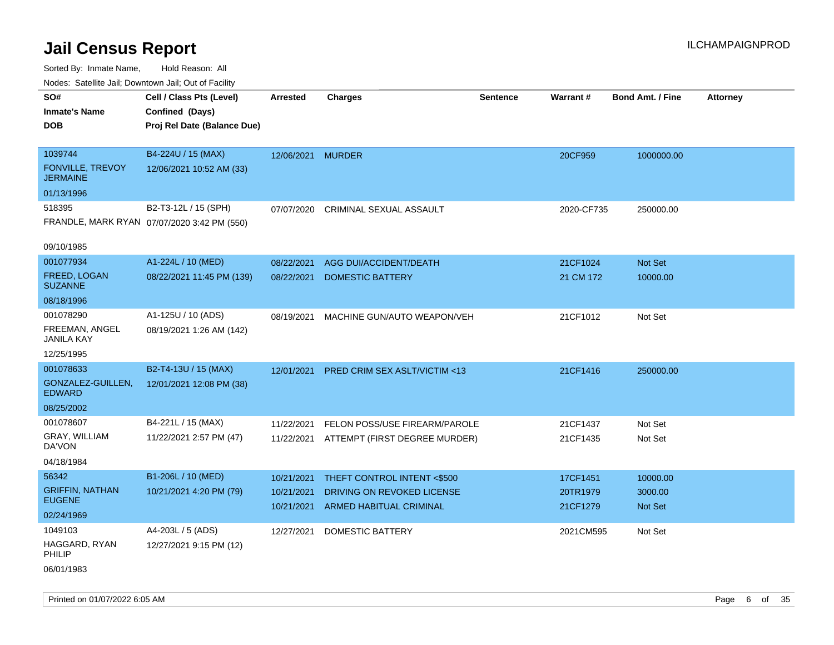| ivuutos. Saltiilit Jall, Duwilluwii Jall, Oul of Facility |                                             |                   |                                          |                 |            |                         |                 |
|-----------------------------------------------------------|---------------------------------------------|-------------------|------------------------------------------|-----------------|------------|-------------------------|-----------------|
| SO#                                                       | Cell / Class Pts (Level)                    | Arrested          | <b>Charges</b>                           | <b>Sentence</b> | Warrant#   | <b>Bond Amt. / Fine</b> | <b>Attorney</b> |
| <b>Inmate's Name</b>                                      | Confined (Days)                             |                   |                                          |                 |            |                         |                 |
| <b>DOB</b>                                                | Proj Rel Date (Balance Due)                 |                   |                                          |                 |            |                         |                 |
|                                                           |                                             |                   |                                          |                 |            |                         |                 |
| 1039744                                                   | B4-224U / 15 (MAX)                          | 12/06/2021 MURDER |                                          |                 | 20CF959    | 1000000.00              |                 |
| <b>FONVILLE, TREVOY</b><br><b>JERMAINE</b>                | 12/06/2021 10:52 AM (33)                    |                   |                                          |                 |            |                         |                 |
| 01/13/1996                                                |                                             |                   |                                          |                 |            |                         |                 |
| 518395                                                    | B2-T3-12L / 15 (SPH)                        | 07/07/2020        | CRIMINAL SEXUAL ASSAULT                  |                 | 2020-CF735 | 250000.00               |                 |
|                                                           | FRANDLE, MARK RYAN 07/07/2020 3:42 PM (550) |                   |                                          |                 |            |                         |                 |
| 09/10/1985                                                |                                             |                   |                                          |                 |            |                         |                 |
| 001077934                                                 | A1-224L / 10 (MED)                          | 08/22/2021        | AGG DUI/ACCIDENT/DEATH                   |                 | 21CF1024   | Not Set                 |                 |
| FREED, LOGAN<br><b>SUZANNE</b>                            | 08/22/2021 11:45 PM (139)                   | 08/22/2021        | <b>DOMESTIC BATTERY</b>                  |                 | 21 CM 172  | 10000.00                |                 |
| 08/18/1996                                                |                                             |                   |                                          |                 |            |                         |                 |
| 001078290                                                 | A1-125U / 10 (ADS)                          | 08/19/2021        | MACHINE GUN/AUTO WEAPON/VEH              |                 | 21CF1012   | Not Set                 |                 |
| FREEMAN, ANGEL<br><b>JANILA KAY</b>                       | 08/19/2021 1:26 AM (142)                    |                   |                                          |                 |            |                         |                 |
| 12/25/1995                                                |                                             |                   |                                          |                 |            |                         |                 |
| 001078633                                                 | B2-T4-13U / 15 (MAX)                        | 12/01/2021        | <b>PRED CRIM SEX ASLT/VICTIM &lt;13</b>  |                 | 21CF1416   | 250000.00               |                 |
| GONZALEZ-GUILLEN,<br><b>EDWARD</b>                        | 12/01/2021 12:08 PM (38)                    |                   |                                          |                 |            |                         |                 |
| 08/25/2002                                                |                                             |                   |                                          |                 |            |                         |                 |
| 001078607                                                 | B4-221L / 15 (MAX)                          | 11/22/2021        | FELON POSS/USE FIREARM/PAROLE            |                 | 21CF1437   | Not Set                 |                 |
| GRAY, WILLIAM<br>DA'VON                                   | 11/22/2021 2:57 PM (47)                     |                   | 11/22/2021 ATTEMPT (FIRST DEGREE MURDER) |                 | 21CF1435   | Not Set                 |                 |
| 04/18/1984                                                |                                             |                   |                                          |                 |            |                         |                 |
| 56342                                                     | B1-206L / 10 (MED)                          | 10/21/2021        | THEFT CONTROL INTENT <\$500              |                 | 17CF1451   | 10000.00                |                 |
| <b>GRIFFIN, NATHAN</b>                                    | 10/21/2021 4:20 PM (79)                     | 10/21/2021        | DRIVING ON REVOKED LICENSE               |                 | 20TR1979   | 3000.00                 |                 |
| <b>EUGENE</b>                                             |                                             | 10/21/2021        | ARMED HABITUAL CRIMINAL                  |                 | 21CF1279   | Not Set                 |                 |
| 02/24/1969                                                |                                             |                   |                                          |                 |            |                         |                 |
| 1049103                                                   | A4-203L / 5 (ADS)                           | 12/27/2021        | <b>DOMESTIC BATTERY</b>                  |                 | 2021CM595  | Not Set                 |                 |
| HAGGARD, RYAN<br>PHILIP                                   | 12/27/2021 9:15 PM (12)                     |                   |                                          |                 |            |                         |                 |
| 06/01/1983                                                |                                             |                   |                                          |                 |            |                         |                 |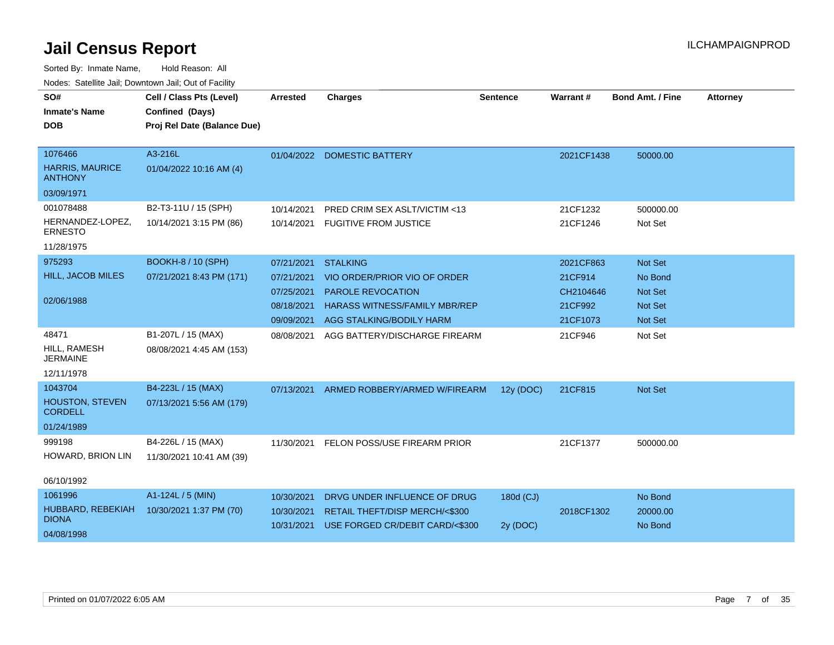|                                          | vouts. Salting Jan, Downlown Jan, Out of Facility |                 |                                      |                 |            |                         |                 |
|------------------------------------------|---------------------------------------------------|-----------------|--------------------------------------|-----------------|------------|-------------------------|-----------------|
| SO#                                      | Cell / Class Pts (Level)                          | <b>Arrested</b> | <b>Charges</b>                       | <b>Sentence</b> | Warrant#   | <b>Bond Amt. / Fine</b> | <b>Attorney</b> |
| <b>Inmate's Name</b>                     | Confined (Days)                                   |                 |                                      |                 |            |                         |                 |
| <b>DOB</b>                               | Proj Rel Date (Balance Due)                       |                 |                                      |                 |            |                         |                 |
|                                          |                                                   |                 |                                      |                 |            |                         |                 |
| 1076466                                  | A3-216L                                           |                 | 01/04/2022 DOMESTIC BATTERY          |                 | 2021CF1438 | 50000.00                |                 |
| <b>HARRIS, MAURICE</b><br><b>ANTHONY</b> | 01/04/2022 10:16 AM (4)                           |                 |                                      |                 |            |                         |                 |
| 03/09/1971                               |                                                   |                 |                                      |                 |            |                         |                 |
| 001078488                                | B2-T3-11U / 15 (SPH)                              | 10/14/2021      | PRED CRIM SEX ASLT/VICTIM <13        |                 | 21CF1232   | 500000.00               |                 |
| HERNANDEZ-LOPEZ,<br><b>ERNESTO</b>       | 10/14/2021 3:15 PM (86)                           | 10/14/2021      | <b>FUGITIVE FROM JUSTICE</b>         |                 | 21CF1246   | Not Set                 |                 |
| 11/28/1975                               |                                                   |                 |                                      |                 |            |                         |                 |
| 975293                                   | <b>BOOKH-8 / 10 (SPH)</b>                         | 07/21/2021      | <b>STALKING</b>                      |                 | 2021CF863  | Not Set                 |                 |
| HILL, JACOB MILES                        | 07/21/2021 8:43 PM (171)                          | 07/21/2021      | VIO ORDER/PRIOR VIO OF ORDER         |                 | 21CF914    | No Bond                 |                 |
|                                          |                                                   | 07/25/2021      | <b>PAROLE REVOCATION</b>             |                 | CH2104646  | <b>Not Set</b>          |                 |
| 02/06/1988                               |                                                   | 08/18/2021      | <b>HARASS WITNESS/FAMILY MBR/REP</b> |                 | 21CF992    | <b>Not Set</b>          |                 |
|                                          |                                                   | 09/09/2021      | AGG STALKING/BODILY HARM             |                 | 21CF1073   | Not Set                 |                 |
| 48471                                    | B1-207L / 15 (MAX)                                | 08/08/2021      | AGG BATTERY/DISCHARGE FIREARM        |                 | 21CF946    | Not Set                 |                 |
| HILL, RAMESH<br><b>JERMAINE</b>          | 08/08/2021 4:45 AM (153)                          |                 |                                      |                 |            |                         |                 |
| 12/11/1978                               |                                                   |                 |                                      |                 |            |                         |                 |
| 1043704                                  | B4-223L / 15 (MAX)                                | 07/13/2021      | ARMED ROBBERY/ARMED W/FIREARM        | 12y (DOC)       | 21CF815    | Not Set                 |                 |
| <b>HOUSTON, STEVEN</b><br><b>CORDELL</b> | 07/13/2021 5:56 AM (179)                          |                 |                                      |                 |            |                         |                 |
| 01/24/1989                               |                                                   |                 |                                      |                 |            |                         |                 |
| 999198                                   | B4-226L / 15 (MAX)                                | 11/30/2021      | FELON POSS/USE FIREARM PRIOR         |                 | 21CF1377   | 500000.00               |                 |
| HOWARD, BRION LIN                        | 11/30/2021 10:41 AM (39)                          |                 |                                      |                 |            |                         |                 |
| 06/10/1992                               |                                                   |                 |                                      |                 |            |                         |                 |
| 1061996                                  | A1-124L / 5 (MIN)                                 | 10/30/2021      | DRVG UNDER INFLUENCE OF DRUG         | 180d (CJ)       |            | No Bond                 |                 |
| HUBBARD, REBEKIAH<br><b>DIONA</b>        | 10/30/2021 1:37 PM (70)                           | 10/30/2021      | RETAIL THEFT/DISP MERCH/<\$300       |                 | 2018CF1302 | 20000.00                |                 |
| 04/08/1998                               |                                                   | 10/31/2021      | USE FORGED CR/DEBIT CARD/<\$300      | 2y (DOC)        |            | No Bond                 |                 |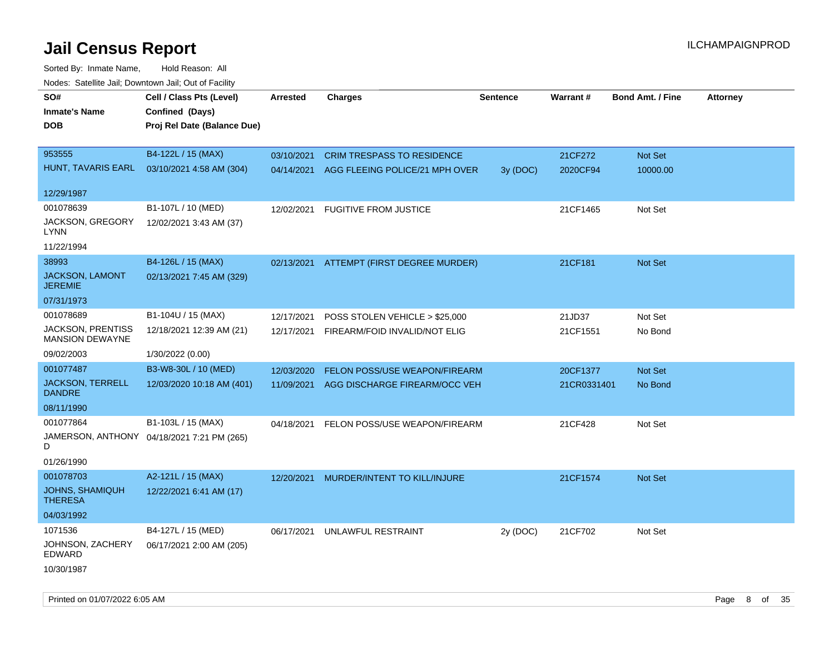| rougs. Calcing Jan, Downtown Jan, Out of Facility |                                            |                 |                                           |                 |             |                         |                 |
|---------------------------------------------------|--------------------------------------------|-----------------|-------------------------------------------|-----------------|-------------|-------------------------|-----------------|
| SO#                                               | Cell / Class Pts (Level)                   | <b>Arrested</b> | <b>Charges</b>                            | <b>Sentence</b> | Warrant#    | <b>Bond Amt. / Fine</b> | <b>Attorney</b> |
| <b>Inmate's Name</b>                              | Confined (Days)                            |                 |                                           |                 |             |                         |                 |
| <b>DOB</b>                                        | Proj Rel Date (Balance Due)                |                 |                                           |                 |             |                         |                 |
|                                                   |                                            |                 |                                           |                 |             |                         |                 |
| 953555                                            | B4-122L / 15 (MAX)                         | 03/10/2021      | <b>CRIM TRESPASS TO RESIDENCE</b>         |                 | 21CF272     | Not Set                 |                 |
| HUNT, TAVARIS EARL                                | 03/10/2021 4:58 AM (304)                   |                 | 04/14/2021 AGG FLEEING POLICE/21 MPH OVER | 3y (DOC)        | 2020CF94    | 10000.00                |                 |
|                                                   |                                            |                 |                                           |                 |             |                         |                 |
| 12/29/1987                                        |                                            |                 |                                           |                 |             |                         |                 |
| 001078639                                         | B1-107L / 10 (MED)                         | 12/02/2021      | <b>FUGITIVE FROM JUSTICE</b>              |                 | 21CF1465    | Not Set                 |                 |
| JACKSON, GREGORY<br>LYNN                          | 12/02/2021 3:43 AM (37)                    |                 |                                           |                 |             |                         |                 |
| 11/22/1994                                        |                                            |                 |                                           |                 |             |                         |                 |
| 38993                                             | B4-126L / 15 (MAX)                         | 02/13/2021      | ATTEMPT (FIRST DEGREE MURDER)             |                 | 21CF181     | Not Set                 |                 |
| JACKSON, LAMONT<br><b>JEREMIE</b>                 | 02/13/2021 7:45 AM (329)                   |                 |                                           |                 |             |                         |                 |
| 07/31/1973                                        |                                            |                 |                                           |                 |             |                         |                 |
| 001078689                                         | B1-104U / 15 (MAX)                         | 12/17/2021      | POSS STOLEN VEHICLE > \$25,000            |                 | 21JD37      | Not Set                 |                 |
| <b>JACKSON, PRENTISS</b>                          | 12/18/2021 12:39 AM (21)                   | 12/17/2021      | FIREARM/FOID INVALID/NOT ELIG             |                 | 21CF1551    | No Bond                 |                 |
| <b>MANSION DEWAYNE</b>                            |                                            |                 |                                           |                 |             |                         |                 |
| 09/02/2003                                        | 1/30/2022 (0.00)                           |                 |                                           |                 |             |                         |                 |
| 001077487                                         | B3-W8-30L / 10 (MED)                       | 12/03/2020      | <b>FELON POSS/USE WEAPON/FIREARM</b>      |                 | 20CF1377    | Not Set                 |                 |
| <b>JACKSON, TERRELL</b><br><b>DANDRE</b>          | 12/03/2020 10:18 AM (401)                  | 11/09/2021      | AGG DISCHARGE FIREARM/OCC VEH             |                 | 21CR0331401 | No Bond                 |                 |
| 08/11/1990                                        |                                            |                 |                                           |                 |             |                         |                 |
| 001077864                                         | B1-103L / 15 (MAX)                         | 04/18/2021      | FELON POSS/USE WEAPON/FIREARM             |                 | 21CF428     | Not Set                 |                 |
| D                                                 | JAMERSON, ANTHONY 04/18/2021 7:21 PM (265) |                 |                                           |                 |             |                         |                 |
| 01/26/1990                                        |                                            |                 |                                           |                 |             |                         |                 |
| 001078703                                         | A2-121L / 15 (MAX)                         | 12/20/2021      | MURDER/INTENT TO KILL/INJURE              |                 | 21CF1574    | Not Set                 |                 |
| <b>JOHNS, SHAMIQUH</b><br><b>THERESA</b>          | 12/22/2021 6:41 AM (17)                    |                 |                                           |                 |             |                         |                 |
| 04/03/1992                                        |                                            |                 |                                           |                 |             |                         |                 |
| 1071536                                           | B4-127L / 15 (MED)                         | 06/17/2021      | UNLAWFUL RESTRAINT                        | 2y (DOC)        | 21CF702     | Not Set                 |                 |
| JOHNSON, ZACHERY<br>EDWARD                        | 06/17/2021 2:00 AM (205)                   |                 |                                           |                 |             |                         |                 |
| 10/30/1987                                        |                                            |                 |                                           |                 |             |                         |                 |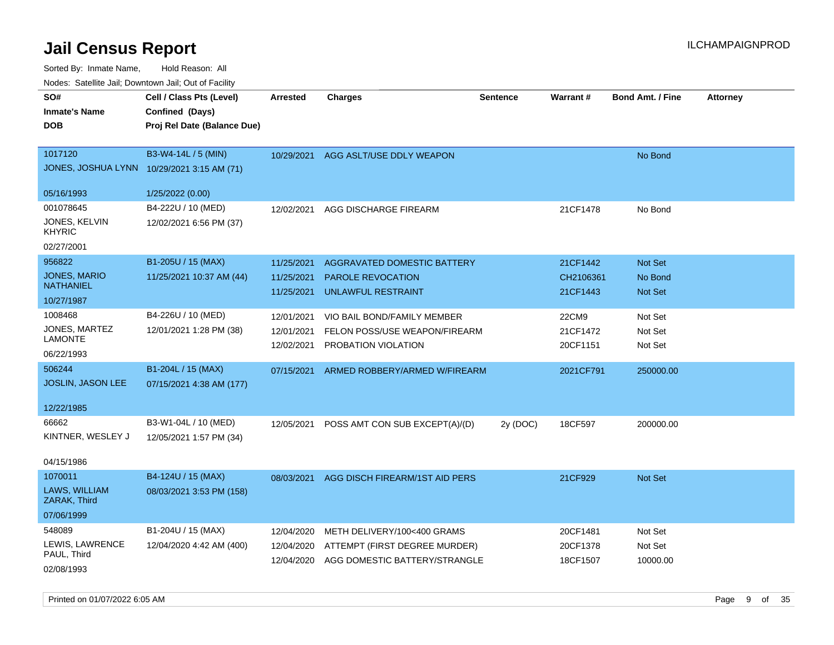| roaco. Calcinio dan, Downtown dan, Out or Fability |                             |            |                                |                 |           |                         |                 |
|----------------------------------------------------|-----------------------------|------------|--------------------------------|-----------------|-----------|-------------------------|-----------------|
| SO#                                                | Cell / Class Pts (Level)    | Arrested   | <b>Charges</b>                 | <b>Sentence</b> | Warrant#  | <b>Bond Amt. / Fine</b> | <b>Attorney</b> |
| <b>Inmate's Name</b>                               | Confined (Days)             |            |                                |                 |           |                         |                 |
| <b>DOB</b>                                         | Proj Rel Date (Balance Due) |            |                                |                 |           |                         |                 |
|                                                    |                             |            |                                |                 |           |                         |                 |
| 1017120                                            | B3-W4-14L / 5 (MIN)         | 10/29/2021 | AGG ASLT/USE DDLY WEAPON       |                 |           | No Bond                 |                 |
| JONES, JOSHUA LYNN 10/29/2021 3:15 AM (71)         |                             |            |                                |                 |           |                         |                 |
|                                                    |                             |            |                                |                 |           |                         |                 |
| 05/16/1993                                         | 1/25/2022 (0.00)            |            |                                |                 |           |                         |                 |
| 001078645                                          | B4-222U / 10 (MED)          | 12/02/2021 | AGG DISCHARGE FIREARM          |                 | 21CF1478  | No Bond                 |                 |
| JONES, KELVIN<br><b>KHYRIC</b>                     | 12/02/2021 6:56 PM (37)     |            |                                |                 |           |                         |                 |
| 02/27/2001                                         |                             |            |                                |                 |           |                         |                 |
| 956822                                             | B1-205U / 15 (MAX)          | 11/25/2021 | AGGRAVATED DOMESTIC BATTERY    |                 | 21CF1442  | <b>Not Set</b>          |                 |
| <b>JONES, MARIO</b>                                | 11/25/2021 10:37 AM (44)    | 11/25/2021 | <b>PAROLE REVOCATION</b>       |                 | CH2106361 | No Bond                 |                 |
| <b>NATHANIEL</b>                                   |                             | 11/25/2021 | UNLAWFUL RESTRAINT             |                 | 21CF1443  | Not Set                 |                 |
| 10/27/1987                                         |                             |            |                                |                 |           |                         |                 |
| 1008468                                            | B4-226U / 10 (MED)          | 12/01/2021 | VIO BAIL BOND/FAMILY MEMBER    |                 | 22CM9     | Not Set                 |                 |
| JONES, MARTEZ                                      | 12/01/2021 1:28 PM (38)     | 12/01/2021 | FELON POSS/USE WEAPON/FIREARM  |                 | 21CF1472  | Not Set                 |                 |
| <b>LAMONTE</b>                                     |                             | 12/02/2021 | PROBATION VIOLATION            |                 | 20CF1151  | Not Set                 |                 |
| 06/22/1993                                         |                             |            |                                |                 |           |                         |                 |
| 506244                                             | B1-204L / 15 (MAX)          | 07/15/2021 | ARMED ROBBERY/ARMED W/FIREARM  |                 | 2021CF791 | 250000.00               |                 |
| <b>JOSLIN, JASON LEE</b>                           | 07/15/2021 4:38 AM (177)    |            |                                |                 |           |                         |                 |
| 12/22/1985                                         |                             |            |                                |                 |           |                         |                 |
| 66662                                              | B3-W1-04L / 10 (MED)        |            |                                |                 | 18CF597   |                         |                 |
| KINTNER, WESLEY J                                  | 12/05/2021 1:57 PM (34)     | 12/05/2021 | POSS AMT CON SUB EXCEPT(A)/(D) | 2y (DOC)        |           | 200000.00               |                 |
|                                                    |                             |            |                                |                 |           |                         |                 |
| 04/15/1986                                         |                             |            |                                |                 |           |                         |                 |
| 1070011                                            | B4-124U / 15 (MAX)          | 08/03/2021 | AGG DISCH FIREARM/1ST AID PERS |                 | 21CF929   | <b>Not Set</b>          |                 |
| LAWS, WILLIAM<br>ZARAK, Third                      | 08/03/2021 3:53 PM (158)    |            |                                |                 |           |                         |                 |
| 07/06/1999                                         |                             |            |                                |                 |           |                         |                 |
| 548089                                             | B1-204U / 15 (MAX)          | 12/04/2020 | METH DELIVERY/100<400 GRAMS    |                 | 20CF1481  | Not Set                 |                 |
| LEWIS, LAWRENCE                                    | 12/04/2020 4:42 AM (400)    | 12/04/2020 | ATTEMPT (FIRST DEGREE MURDER)  |                 | 20CF1378  | Not Set                 |                 |
| PAUL, Third                                        |                             | 12/04/2020 | AGG DOMESTIC BATTERY/STRANGLE  |                 | 18CF1507  | 10000.00                |                 |
| 02/08/1993                                         |                             |            |                                |                 |           |                         |                 |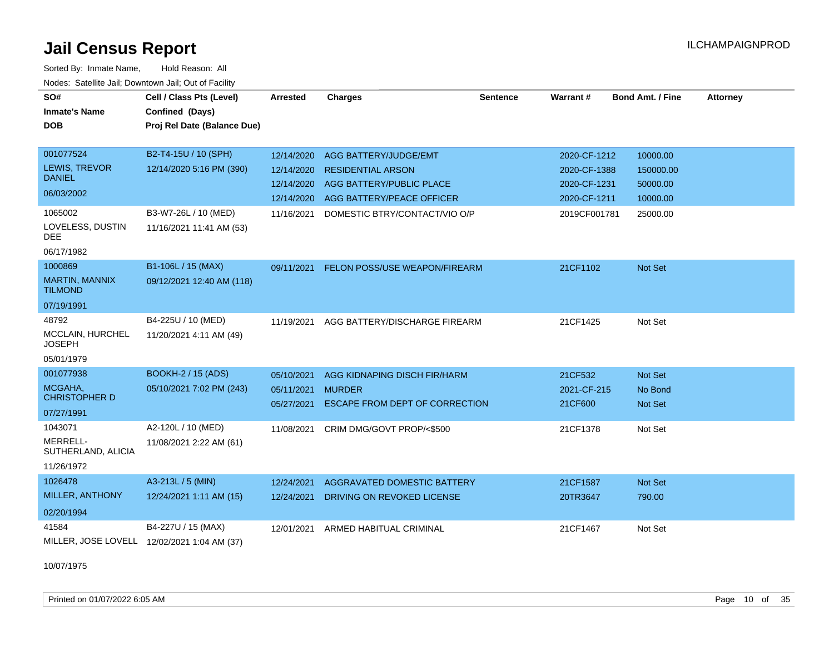Sorted By: Inmate Name, Hold Reason: All Nodes: Satellite Jail; Downtown Jail; Out of Facility

| SO#<br><b>Inmate's Name</b><br><b>DOB</b>               | Cell / Class Pts (Level)<br>Confined (Days)<br>Proj Rel Date (Balance Due) | <b>Arrested</b>          | <b>Charges</b>                                        | <b>Sentence</b> | Warrant#                     | <b>Bond Amt. / Fine</b> | <b>Attorney</b> |
|---------------------------------------------------------|----------------------------------------------------------------------------|--------------------------|-------------------------------------------------------|-----------------|------------------------------|-------------------------|-----------------|
| 001077524                                               | B2-T4-15U / 10 (SPH)                                                       | 12/14/2020               | AGG BATTERY/JUDGE/EMT                                 |                 | 2020-CF-1212                 | 10000.00                |                 |
| LEWIS, TREVOR<br><b>DANIEL</b>                          | 12/14/2020 5:16 PM (390)                                                   | 12/14/2020               | <b>RESIDENTIAL ARSON</b>                              |                 | 2020-CF-1388                 | 150000.00               |                 |
| 06/03/2002                                              |                                                                            | 12/14/2020<br>12/14/2020 | AGG BATTERY/PUBLIC PLACE<br>AGG BATTERY/PEACE OFFICER |                 | 2020-CF-1231<br>2020-CF-1211 | 50000.00<br>10000.00    |                 |
| 1065002<br>LOVELESS, DUSTIN<br><b>DEE</b><br>06/17/1982 | B3-W7-26L / 10 (MED)<br>11/16/2021 11:41 AM (53)                           | 11/16/2021               | DOMESTIC BTRY/CONTACT/VIO O/P                         |                 | 2019CF001781                 | 25000.00                |                 |
| 1000869                                                 | B1-106L / 15 (MAX)                                                         | 09/11/2021               | FELON POSS/USE WEAPON/FIREARM                         |                 | 21CF1102                     | <b>Not Set</b>          |                 |
| <b>MARTIN, MANNIX</b><br><b>TILMOND</b>                 | 09/12/2021 12:40 AM (118)                                                  |                          |                                                       |                 |                              |                         |                 |
| 07/19/1991                                              |                                                                            |                          |                                                       |                 |                              |                         |                 |
| 48792                                                   | B4-225U / 10 (MED)                                                         | 11/19/2021               | AGG BATTERY/DISCHARGE FIREARM                         |                 | 21CF1425                     | Not Set                 |                 |
| MCCLAIN, HURCHEL<br><b>JOSEPH</b>                       | 11/20/2021 4:11 AM (49)                                                    |                          |                                                       |                 |                              |                         |                 |
| 05/01/1979                                              |                                                                            |                          |                                                       |                 |                              |                         |                 |
| 001077938                                               | <b>BOOKH-2 / 15 (ADS)</b>                                                  | 05/10/2021               | AGG KIDNAPING DISCH FIR/HARM                          |                 | 21CF532                      | Not Set                 |                 |
| MCGAHA,<br><b>CHRISTOPHER D</b>                         | 05/10/2021 7:02 PM (243)                                                   | 05/11/2021               | <b>MURDER</b>                                         |                 | 2021-CF-215                  | No Bond                 |                 |
| 07/27/1991                                              |                                                                            | 05/27/2021               | <b>ESCAPE FROM DEPT OF CORRECTION</b>                 |                 | 21CF600                      | Not Set                 |                 |
| 1043071                                                 | A2-120L / 10 (MED)                                                         | 11/08/2021               | CRIM DMG/GOVT PROP/<\$500                             |                 | 21CF1378                     | Not Set                 |                 |
| MERRELL-<br>SUTHERLAND, ALICIA<br>11/26/1972            | 11/08/2021 2:22 AM (61)                                                    |                          |                                                       |                 |                              |                         |                 |
| 1026478                                                 | A3-213L / 5 (MIN)                                                          | 12/24/2021               | AGGRAVATED DOMESTIC BATTERY                           |                 | 21CF1587                     | Not Set                 |                 |
| MILLER, ANTHONY                                         | 12/24/2021 1:11 AM (15)                                                    | 12/24/2021               | DRIVING ON REVOKED LICENSE                            |                 | 20TR3647                     | 790.00                  |                 |
| 02/20/1994                                              |                                                                            |                          |                                                       |                 |                              |                         |                 |
| 41584                                                   | B4-227U / 15 (MAX)                                                         | 12/01/2021               | ARMED HABITUAL CRIMINAL                               |                 | 21CF1467                     | Not Set                 |                 |
|                                                         | MILLER, JOSE LOVELL 12/02/2021 1:04 AM (37)                                |                          |                                                       |                 |                              |                         |                 |

10/07/1975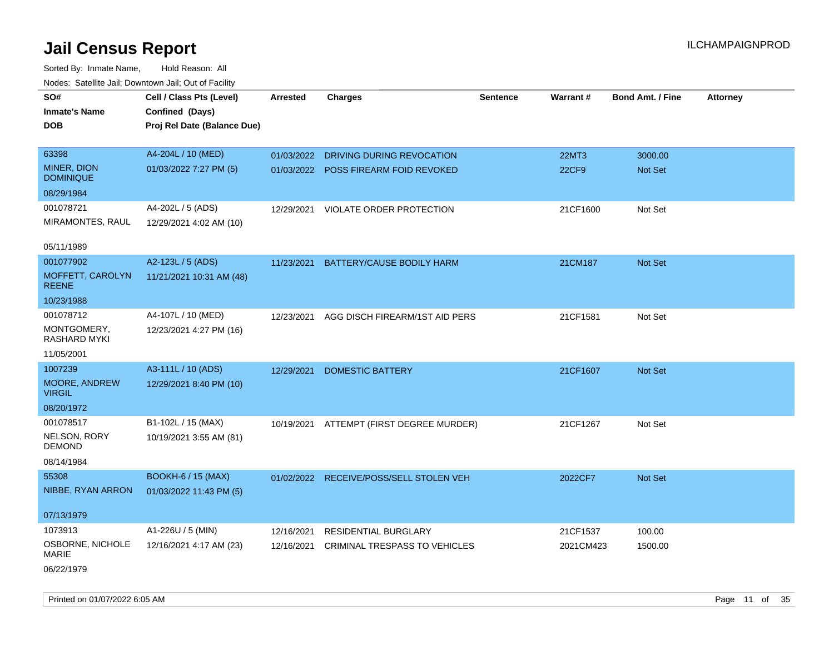Sorted By: Inmate Name, Hold Reason: All Nodes: Satellite Jail; Downtown Jail; Out of Facility

| SO#                              | Cell / Class Pts (Level)                       | <b>Arrested</b> | <b>Charges</b>                          | <b>Sentence</b> | Warrant#     | <b>Bond Amt. / Fine</b> |                 |
|----------------------------------|------------------------------------------------|-----------------|-----------------------------------------|-----------------|--------------|-------------------------|-----------------|
|                                  |                                                |                 |                                         |                 |              |                         | <b>Attorney</b> |
| <b>Inmate's Name</b>             | Confined (Days)<br>Proj Rel Date (Balance Due) |                 |                                         |                 |              |                         |                 |
| DOB                              |                                                |                 |                                         |                 |              |                         |                 |
| 63398                            | A4-204L / 10 (MED)                             | 01/03/2022      | <b>DRIVING DURING REVOCATION</b>        |                 | <b>22MT3</b> | 3000.00                 |                 |
| MINER, DION<br><b>DOMINIQUE</b>  | 01/03/2022 7:27 PM (5)                         |                 | 01/03/2022 POSS FIREARM FOID REVOKED    |                 | 22CF9        | Not Set                 |                 |
| 08/29/1984                       |                                                |                 |                                         |                 |              |                         |                 |
| 001078721                        | A4-202L / 5 (ADS)                              | 12/29/2021      | VIOLATE ORDER PROTECTION                |                 | 21CF1600     | Not Set                 |                 |
| MIRAMONTES, RAUL                 | 12/29/2021 4:02 AM (10)                        |                 |                                         |                 |              |                         |                 |
| 05/11/1989                       |                                                |                 |                                         |                 |              |                         |                 |
| 001077902                        | A2-123L / 5 (ADS)                              | 11/23/2021      | BATTERY/CAUSE BODILY HARM               |                 | 21CM187      | Not Set                 |                 |
| MOFFETT, CAROLYN<br><b>REENE</b> | 11/21/2021 10:31 AM (48)                       |                 |                                         |                 |              |                         |                 |
| 10/23/1988                       |                                                |                 |                                         |                 |              |                         |                 |
| 001078712                        | A4-107L / 10 (MED)                             | 12/23/2021      | AGG DISCH FIREARM/1ST AID PERS          |                 | 21CF1581     | Not Set                 |                 |
| MONTGOMERY,<br>RASHARD MYKI      | 12/23/2021 4:27 PM (16)                        |                 |                                         |                 |              |                         |                 |
| 11/05/2001                       |                                                |                 |                                         |                 |              |                         |                 |
| 1007239                          | A3-111L / 10 (ADS)                             | 12/29/2021      | <b>DOMESTIC BATTERY</b>                 |                 | 21CF1607     | Not Set                 |                 |
| MOORE, ANDREW<br><b>VIRGIL</b>   | 12/29/2021 8:40 PM (10)                        |                 |                                         |                 |              |                         |                 |
| 08/20/1972                       |                                                |                 |                                         |                 |              |                         |                 |
| 001078517                        | B1-102L / 15 (MAX)                             | 10/19/2021      | ATTEMPT (FIRST DEGREE MURDER)           |                 | 21CF1267     | Not Set                 |                 |
| NELSON, RORY<br><b>DEMOND</b>    | 10/19/2021 3:55 AM (81)                        |                 |                                         |                 |              |                         |                 |
| 08/14/1984                       |                                                |                 |                                         |                 |              |                         |                 |
| 55308                            | <b>BOOKH-6 / 15 (MAX)</b>                      |                 | 01/02/2022 RECEIVE/POSS/SELL STOLEN VEH |                 | 2022CF7      | Not Set                 |                 |
| NIBBE, RYAN ARRON                | 01/03/2022 11:43 PM (5)                        |                 |                                         |                 |              |                         |                 |
| 07/13/1979                       |                                                |                 |                                         |                 |              |                         |                 |
| 1073913                          | A1-226U / 5 (MIN)                              | 12/16/2021      | <b>RESIDENTIAL BURGLARY</b>             |                 | 21CF1537     | 100.00                  |                 |
| OSBORNE, NICHOLE<br>MARIE        | 12/16/2021 4:17 AM (23)                        | 12/16/2021      | CRIMINAL TRESPASS TO VEHICLES           |                 | 2021CM423    | 1500.00                 |                 |
| 06/22/1979                       |                                                |                 |                                         |                 |              |                         |                 |

Printed on 01/07/2022 6:05 AM **Page 11** of 35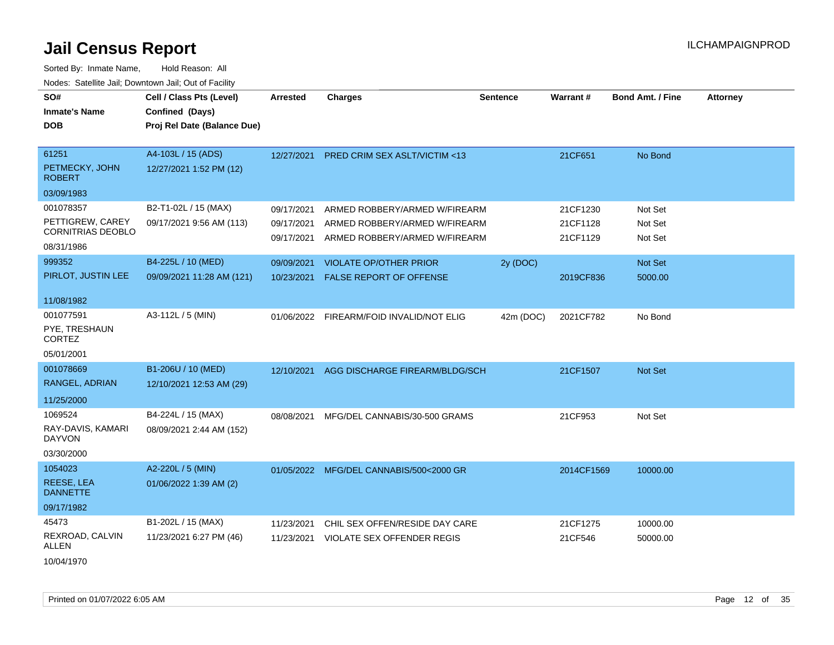| SO#<br><b>Inmate's Name</b><br><b>DOB</b>                                             | Cell / Class Pts (Level)<br>Confined (Days)<br>Proj Rel Date (Balance Due) | <b>Arrested</b>                        | <b>Charges</b>                                                                                  | <b>Sentence</b> | Warrant#                         | <b>Bond Amt. / Fine</b>       | <b>Attorney</b> |
|---------------------------------------------------------------------------------------|----------------------------------------------------------------------------|----------------------------------------|-------------------------------------------------------------------------------------------------|-----------------|----------------------------------|-------------------------------|-----------------|
| 61251<br>PETMECKY, JOHN<br><b>ROBERT</b>                                              | A4-103L / 15 (ADS)<br>12/27/2021 1:52 PM (12)                              | 12/27/2021                             | <b>PRED CRIM SEX ASLT/VICTIM &lt;13</b>                                                         |                 | 21CF651                          | No Bond                       |                 |
| 03/09/1983<br>001078357<br>PETTIGREW, CAREY<br><b>CORNITRIAS DEOBLO</b><br>08/31/1986 | B2-T1-02L / 15 (MAX)<br>09/17/2021 9:56 AM (113)                           | 09/17/2021<br>09/17/2021<br>09/17/2021 | ARMED ROBBERY/ARMED W/FIREARM<br>ARMED ROBBERY/ARMED W/FIREARM<br>ARMED ROBBERY/ARMED W/FIREARM |                 | 21CF1230<br>21CF1128<br>21CF1129 | Not Set<br>Not Set<br>Not Set |                 |
| 999352<br>PIRLOT, JUSTIN LEE<br>11/08/1982                                            | B4-225L / 10 (MED)<br>09/09/2021 11:28 AM (121)                            | 09/09/2021<br>10/23/2021               | <b>VIOLATE OP/OTHER PRIOR</b><br><b>FALSE REPORT OF OFFENSE</b>                                 | 2y (DOC)        | 2019CF836                        | <b>Not Set</b><br>5000.00     |                 |
| 001077591<br>PYE, TRESHAUN<br><b>CORTEZ</b><br>05/01/2001                             | A3-112L / 5 (MIN)                                                          | 01/06/2022                             | FIREARM/FOID INVALID/NOT ELIG                                                                   | 42m (DOC)       | 2021CF782                        | No Bond                       |                 |
| 001078669<br>RANGEL, ADRIAN<br>11/25/2000                                             | B1-206U / 10 (MED)<br>12/10/2021 12:53 AM (29)                             | 12/10/2021                             | AGG DISCHARGE FIREARM/BLDG/SCH                                                                  |                 | 21CF1507                         | <b>Not Set</b>                |                 |
| 1069524<br>RAY-DAVIS, KAMARI<br><b>DAYVON</b><br>03/30/2000                           | B4-224L / 15 (MAX)<br>08/09/2021 2:44 AM (152)                             | 08/08/2021                             | MFG/DEL CANNABIS/30-500 GRAMS                                                                   |                 | 21CF953                          | Not Set                       |                 |
| 1054023<br>REESE, LEA<br><b>DANNETTE</b><br>09/17/1982                                | A2-220L / 5 (MIN)<br>01/06/2022 1:39 AM (2)                                |                                        | 01/05/2022 MFG/DEL CANNABIS/500<2000 GR                                                         |                 | 2014CF1569                       | 10000.00                      |                 |
| 45473<br>REXROAD, CALVIN<br>ALLEN<br>10/04/1970                                       | B1-202L / 15 (MAX)<br>11/23/2021 6:27 PM (46)                              | 11/23/2021<br>11/23/2021               | CHIL SEX OFFEN/RESIDE DAY CARE<br><b>VIOLATE SEX OFFENDER REGIS</b>                             |                 | 21CF1275<br>21CF546              | 10000.00<br>50000.00          |                 |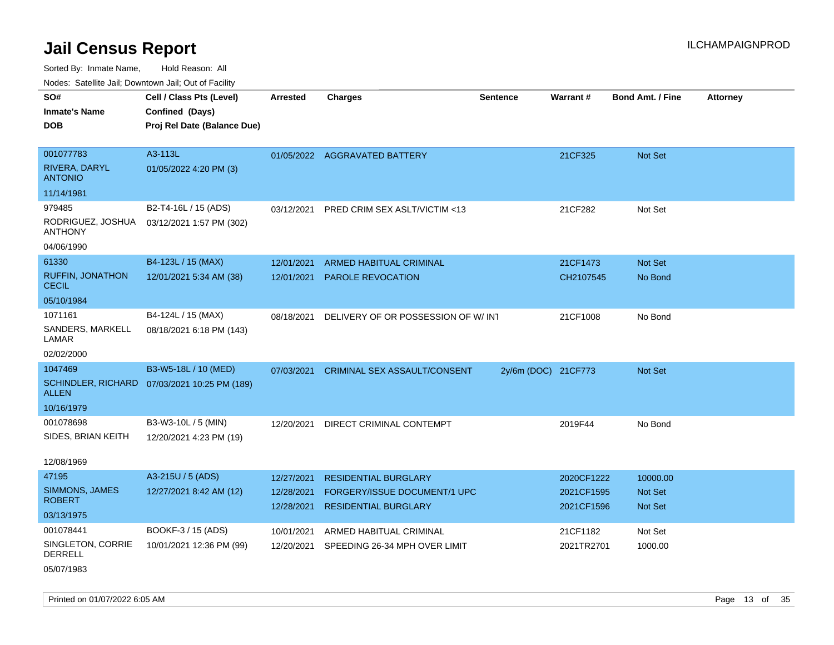Sorted By: Inmate Name, Hold Reason: All

Nodes: Satellite Jail; Downtown Jail; Out of Facility

| roaco. Catolino cali, Downtown cali, Out of Fability |                                                                            |                 |                                     |                     |            |                         |                 |
|------------------------------------------------------|----------------------------------------------------------------------------|-----------------|-------------------------------------|---------------------|------------|-------------------------|-----------------|
| SO#<br><b>Inmate's Name</b><br><b>DOB</b>            | Cell / Class Pts (Level)<br>Confined (Days)<br>Proj Rel Date (Balance Due) | <b>Arrested</b> | <b>Charges</b>                      | <b>Sentence</b>     | Warrant#   | <b>Bond Amt. / Fine</b> | <b>Attorney</b> |
|                                                      |                                                                            |                 |                                     |                     |            |                         |                 |
| 001077783                                            | A3-113L                                                                    |                 | 01/05/2022 AGGRAVATED BATTERY       |                     | 21CF325    | <b>Not Set</b>          |                 |
| RIVERA, DARYL<br><b>ANTONIO</b>                      | 01/05/2022 4:20 PM (3)                                                     |                 |                                     |                     |            |                         |                 |
| 11/14/1981                                           |                                                                            |                 |                                     |                     |            |                         |                 |
| 979485                                               | B2-T4-16L / 15 (ADS)                                                       | 03/12/2021      | PRED CRIM SEX ASLT/VICTIM <13       |                     | 21CF282    | Not Set                 |                 |
| RODRIGUEZ, JOSHUA<br><b>ANTHONY</b>                  | 03/12/2021 1:57 PM (302)                                                   |                 |                                     |                     |            |                         |                 |
| 04/06/1990                                           |                                                                            |                 |                                     |                     |            |                         |                 |
| 61330                                                | B4-123L / 15 (MAX)                                                         | 12/01/2021      | <b>ARMED HABITUAL CRIMINAL</b>      |                     | 21CF1473   | <b>Not Set</b>          |                 |
| <b>RUFFIN, JONATHON</b><br><b>CECIL</b>              | 12/01/2021 5:34 AM (38)                                                    | 12/01/2021      | PAROLE REVOCATION                   |                     | CH2107545  | No Bond                 |                 |
| 05/10/1984                                           |                                                                            |                 |                                     |                     |            |                         |                 |
| 1071161                                              | B4-124L / 15 (MAX)                                                         | 08/18/2021      | DELIVERY OF OR POSSESSION OF W/ INT |                     | 21CF1008   | No Bond                 |                 |
| SANDERS, MARKELL<br>LAMAR                            | 08/18/2021 6:18 PM (143)                                                   |                 |                                     |                     |            |                         |                 |
| 02/02/2000                                           |                                                                            |                 |                                     |                     |            |                         |                 |
| 1047469                                              | B3-W5-18L / 10 (MED)                                                       | 07/03/2021      | CRIMINAL SEX ASSAULT/CONSENT        | 2y/6m (DOC) 21CF773 |            | Not Set                 |                 |
| <b>SCHINDLER, RICHARD</b><br><b>ALLEN</b>            | 07/03/2021 10:25 PM (189)                                                  |                 |                                     |                     |            |                         |                 |
| 10/16/1979                                           |                                                                            |                 |                                     |                     |            |                         |                 |
| 001078698                                            | B3-W3-10L / 5 (MIN)                                                        | 12/20/2021      | DIRECT CRIMINAL CONTEMPT            |                     | 2019F44    | No Bond                 |                 |
| SIDES, BRIAN KEITH                                   | 12/20/2021 4:23 PM (19)                                                    |                 |                                     |                     |            |                         |                 |
| 12/08/1969                                           |                                                                            |                 |                                     |                     |            |                         |                 |
| 47195                                                | A3-215U / 5 (ADS)                                                          | 12/27/2021      | <b>RESIDENTIAL BURGLARY</b>         |                     | 2020CF1222 | 10000.00                |                 |
| SIMMONS, JAMES                                       | 12/27/2021 8:42 AM (12)                                                    | 12/28/2021      | FORGERY/ISSUE DOCUMENT/1 UPC        |                     | 2021CF1595 | <b>Not Set</b>          |                 |
| <b>ROBERT</b>                                        |                                                                            | 12/28/2021      | <b>RESIDENTIAL BURGLARY</b>         |                     | 2021CF1596 | <b>Not Set</b>          |                 |
| 03/13/1975                                           |                                                                            |                 |                                     |                     |            |                         |                 |
| 001078441                                            | BOOKF-3 / 15 (ADS)                                                         | 10/01/2021      | ARMED HABITUAL CRIMINAL             |                     | 21CF1182   | Not Set                 |                 |
| SINGLETON, CORRIE<br><b>DERRELL</b>                  | 10/01/2021 12:36 PM (99)                                                   | 12/20/2021      | SPEEDING 26-34 MPH OVER LIMIT       |                     | 2021TR2701 | 1000.00                 |                 |

05/07/1983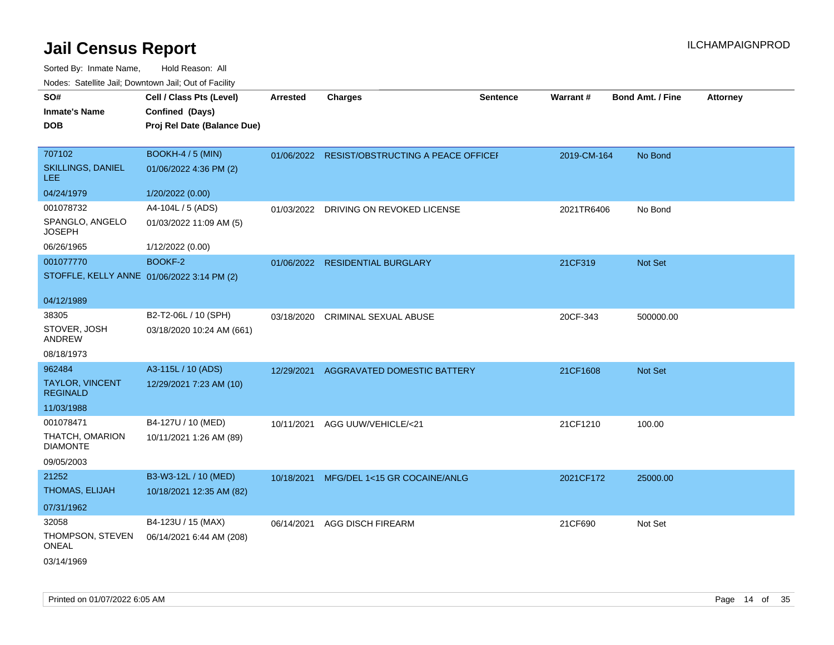| SO#                                        | Cell / Class Pts (Level)    | <b>Arrested</b> | <b>Charges</b>                                | <b>Sentence</b> | <b>Warrant#</b> | <b>Bond Amt. / Fine</b> | <b>Attorney</b> |
|--------------------------------------------|-----------------------------|-----------------|-----------------------------------------------|-----------------|-----------------|-------------------------|-----------------|
| <b>Inmate's Name</b>                       | Confined (Days)             |                 |                                               |                 |                 |                         |                 |
| <b>DOB</b>                                 | Proj Rel Date (Balance Due) |                 |                                               |                 |                 |                         |                 |
|                                            |                             |                 |                                               |                 |                 |                         |                 |
| 707102                                     | BOOKH-4 / 5 (MIN)           |                 | 01/06/2022 RESIST/OBSTRUCTING A PEACE OFFICEI |                 | 2019-CM-164     | No Bond                 |                 |
| <b>SKILLINGS, DANIEL</b><br>LEE.           | 01/06/2022 4:36 PM (2)      |                 |                                               |                 |                 |                         |                 |
| 04/24/1979                                 | 1/20/2022 (0.00)            |                 |                                               |                 |                 |                         |                 |
| 001078732                                  | A4-104L / 5 (ADS)           | 01/03/2022      | DRIVING ON REVOKED LICENSE                    |                 | 2021TR6406      | No Bond                 |                 |
| SPANGLO, ANGELO<br><b>JOSEPH</b>           | 01/03/2022 11:09 AM (5)     |                 |                                               |                 |                 |                         |                 |
| 06/26/1965                                 | 1/12/2022 (0.00)            |                 |                                               |                 |                 |                         |                 |
| 001077770                                  | <b>BOOKF-2</b>              |                 | 01/06/2022 RESIDENTIAL BURGLARY               |                 | 21CF319         | <b>Not Set</b>          |                 |
| STOFFLE, KELLY ANNE 01/06/2022 3:14 PM (2) |                             |                 |                                               |                 |                 |                         |                 |
|                                            |                             |                 |                                               |                 |                 |                         |                 |
| 04/12/1989                                 |                             |                 |                                               |                 |                 |                         |                 |
| 38305                                      | B2-T2-06L / 10 (SPH)        | 03/18/2020      | <b>CRIMINAL SEXUAL ABUSE</b>                  |                 | 20CF-343        | 500000.00               |                 |
| STOVER, JOSH<br>ANDREW                     | 03/18/2020 10:24 AM (661)   |                 |                                               |                 |                 |                         |                 |
| 08/18/1973                                 |                             |                 |                                               |                 |                 |                         |                 |
| 962484                                     | A3-115L / 10 (ADS)          | 12/29/2021      | AGGRAVATED DOMESTIC BATTERY                   |                 | 21CF1608        | <b>Not Set</b>          |                 |
| <b>TAYLOR, VINCENT</b><br><b>REGINALD</b>  | 12/29/2021 7:23 AM (10)     |                 |                                               |                 |                 |                         |                 |
| 11/03/1988                                 |                             |                 |                                               |                 |                 |                         |                 |
| 001078471                                  | B4-127U / 10 (MED)          | 10/11/2021      | AGG UUW/VEHICLE/<21                           |                 | 21CF1210        | 100.00                  |                 |
| THATCH, OMARION<br><b>DIAMONTE</b>         | 10/11/2021 1:26 AM (89)     |                 |                                               |                 |                 |                         |                 |
| 09/05/2003                                 |                             |                 |                                               |                 |                 |                         |                 |
| 21252                                      | B3-W3-12L / 10 (MED)        | 10/18/2021      | MFG/DEL 1<15 GR COCAINE/ANLG                  |                 | 2021CF172       | 25000.00                |                 |
| THOMAS, ELIJAH                             | 10/18/2021 12:35 AM (82)    |                 |                                               |                 |                 |                         |                 |
| 07/31/1962                                 |                             |                 |                                               |                 |                 |                         |                 |
| 32058                                      | B4-123U / 15 (MAX)          | 06/14/2021      | <b>AGG DISCH FIREARM</b>                      |                 | 21CF690         | Not Set                 |                 |
| THOMPSON, STEVEN<br><b>ONEAL</b>           | 06/14/2021 6:44 AM (208)    |                 |                                               |                 |                 |                         |                 |
| 03/14/1969                                 |                             |                 |                                               |                 |                 |                         |                 |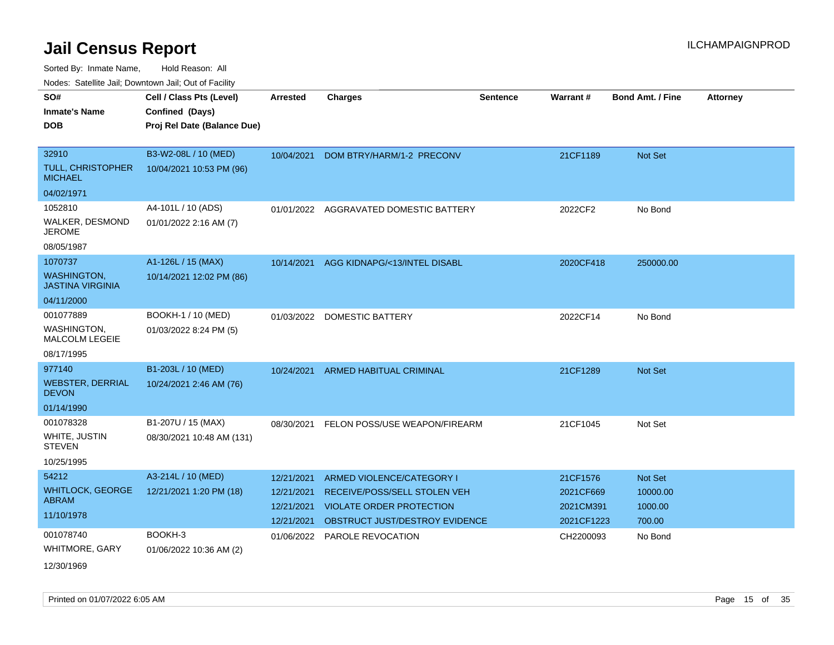Sorted By: Inmate Name, Hold Reason: All

Nodes: Satellite Jail; Downtown Jail; Out of Facility

| SO#                                           | Cell / Class Pts (Level)    | <b>Arrested</b> | <b>Charges</b>                  | <b>Sentence</b> | Warrant#   | <b>Bond Amt. / Fine</b> | <b>Attorney</b> |
|-----------------------------------------------|-----------------------------|-----------------|---------------------------------|-----------------|------------|-------------------------|-----------------|
| <b>Inmate's Name</b>                          | Confined (Days)             |                 |                                 |                 |            |                         |                 |
| <b>DOB</b>                                    | Proj Rel Date (Balance Due) |                 |                                 |                 |            |                         |                 |
|                                               |                             |                 |                                 |                 |            |                         |                 |
| 32910                                         | B3-W2-08L / 10 (MED)        | 10/04/2021      | DOM BTRY/HARM/1-2 PRECONV       |                 | 21CF1189   | <b>Not Set</b>          |                 |
| <b>TULL, CHRISTOPHER</b><br><b>MICHAEL</b>    | 10/04/2021 10:53 PM (96)    |                 |                                 |                 |            |                         |                 |
| 04/02/1971                                    |                             |                 |                                 |                 |            |                         |                 |
| 1052810                                       | A4-101L / 10 (ADS)          | 01/01/2022      | AGGRAVATED DOMESTIC BATTERY     |                 | 2022CF2    | No Bond                 |                 |
| WALKER, DESMOND<br><b>JEROME</b>              | 01/01/2022 2:16 AM (7)      |                 |                                 |                 |            |                         |                 |
| 08/05/1987                                    |                             |                 |                                 |                 |            |                         |                 |
| 1070737                                       | A1-126L / 15 (MAX)          | 10/14/2021      | AGG KIDNAPG/<13/INTEL DISABL    |                 | 2020CF418  | 250000.00               |                 |
| <b>WASHINGTON,</b><br><b>JASTINA VIRGINIA</b> | 10/14/2021 12:02 PM (86)    |                 |                                 |                 |            |                         |                 |
| 04/11/2000                                    |                             |                 |                                 |                 |            |                         |                 |
| 001077889                                     | BOOKH-1 / 10 (MED)          | 01/03/2022      | <b>DOMESTIC BATTERY</b>         |                 | 2022CF14   | No Bond                 |                 |
| <b>WASHINGTON,</b><br><b>MALCOLM LEGEIE</b>   | 01/03/2022 8:24 PM (5)      |                 |                                 |                 |            |                         |                 |
| 08/17/1995                                    |                             |                 |                                 |                 |            |                         |                 |
| 977140                                        | B1-203L / 10 (MED)          | 10/24/2021      | <b>ARMED HABITUAL CRIMINAL</b>  |                 | 21CF1289   | Not Set                 |                 |
| <b>WEBSTER, DERRIAL</b><br><b>DEVON</b>       | 10/24/2021 2:46 AM (76)     |                 |                                 |                 |            |                         |                 |
| 01/14/1990                                    |                             |                 |                                 |                 |            |                         |                 |
| 001078328                                     | B1-207U / 15 (MAX)          | 08/30/2021      | FELON POSS/USE WEAPON/FIREARM   |                 | 21CF1045   | Not Set                 |                 |
| WHITE, JUSTIN<br><b>STEVEN</b>                | 08/30/2021 10:48 AM (131)   |                 |                                 |                 |            |                         |                 |
| 10/25/1995                                    |                             |                 |                                 |                 |            |                         |                 |
| 54212                                         | A3-214L / 10 (MED)          | 12/21/2021      | ARMED VIOLENCE/CATEGORY I       |                 | 21CF1576   | Not Set                 |                 |
| <b>WHITLOCK, GEORGE</b>                       | 12/21/2021 1:20 PM (18)     | 12/21/2021      | RECEIVE/POSS/SELL STOLEN VEH    |                 | 2021CF669  | 10000.00                |                 |
| <b>ABRAM</b>                                  |                             | 12/21/2021      | <b>VIOLATE ORDER PROTECTION</b> |                 | 2021CM391  | 1000.00                 |                 |
| 11/10/1978                                    |                             | 12/21/2021      | OBSTRUCT JUST/DESTROY EVIDENCE  |                 | 2021CF1223 | 700.00                  |                 |
| 001078740                                     | BOOKH-3                     | 01/06/2022      | <b>PAROLE REVOCATION</b>        |                 | CH2200093  | No Bond                 |                 |
| WHITMORE, GARY                                | 01/06/2022 10:36 AM (2)     |                 |                                 |                 |            |                         |                 |
| 12/30/1969                                    |                             |                 |                                 |                 |            |                         |                 |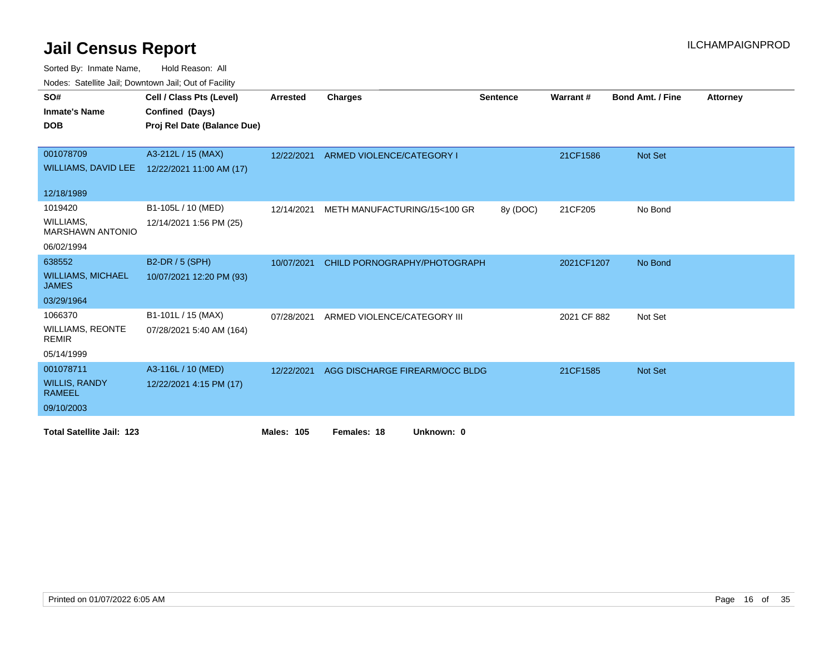Sorted By: Inmate Name, Hold Reason: All

| Nodes: Satellite Jail; Downtown Jail; Out of Facility |                             |                   |                                |                 |             |                         |                 |  |
|-------------------------------------------------------|-----------------------------|-------------------|--------------------------------|-----------------|-------------|-------------------------|-----------------|--|
| SO#                                                   | Cell / Class Pts (Level)    | <b>Arrested</b>   | <b>Charges</b>                 | <b>Sentence</b> | Warrant#    | <b>Bond Amt. / Fine</b> | <b>Attorney</b> |  |
| <b>Inmate's Name</b>                                  | Confined (Days)             |                   |                                |                 |             |                         |                 |  |
| <b>DOB</b>                                            | Proj Rel Date (Balance Due) |                   |                                |                 |             |                         |                 |  |
|                                                       |                             |                   |                                |                 |             |                         |                 |  |
| 001078709                                             | A3-212L / 15 (MAX)          | 12/22/2021        | ARMED VIOLENCE/CATEGORY I      |                 | 21CF1586    | <b>Not Set</b>          |                 |  |
| <b>WILLIAMS, DAVID LEE</b>                            | 12/22/2021 11:00 AM (17)    |                   |                                |                 |             |                         |                 |  |
|                                                       |                             |                   |                                |                 |             |                         |                 |  |
| 12/18/1989                                            |                             |                   |                                |                 |             |                         |                 |  |
| 1019420                                               | B1-105L / 10 (MED)          | 12/14/2021        | METH MANUFACTURING/15<100 GR   | 8y (DOC)        | 21CF205     | No Bond                 |                 |  |
| WILLIAMS.<br><b>MARSHAWN ANTONIO</b>                  | 12/14/2021 1:56 PM (25)     |                   |                                |                 |             |                         |                 |  |
| 06/02/1994                                            |                             |                   |                                |                 |             |                         |                 |  |
| 638552                                                | B2-DR / 5 (SPH)             | 10/07/2021        | CHILD PORNOGRAPHY/PHOTOGRAPH   |                 | 2021CF1207  | No Bond                 |                 |  |
| <b>WILLIAMS, MICHAEL</b><br><b>JAMES</b>              | 10/07/2021 12:20 PM (93)    |                   |                                |                 |             |                         |                 |  |
| 03/29/1964                                            |                             |                   |                                |                 |             |                         |                 |  |
| 1066370                                               | B1-101L / 15 (MAX)          | 07/28/2021        | ARMED VIOLENCE/CATEGORY III    |                 | 2021 CF 882 | Not Set                 |                 |  |
| <b>WILLIAMS, REONTE</b><br><b>REMIR</b>               | 07/28/2021 5:40 AM (164)    |                   |                                |                 |             |                         |                 |  |
| 05/14/1999                                            |                             |                   |                                |                 |             |                         |                 |  |
| 001078711                                             | A3-116L / 10 (MED)          | 12/22/2021        | AGG DISCHARGE FIREARM/OCC BLDG |                 | 21CF1585    | Not Set                 |                 |  |
| <b>WILLIS, RANDY</b><br><b>RAMEEL</b>                 | 12/22/2021 4:15 PM (17)     |                   |                                |                 |             |                         |                 |  |
| 09/10/2003                                            |                             |                   |                                |                 |             |                         |                 |  |
| <b>Total Satellite Jail: 123</b>                      |                             | <b>Males: 105</b> | Females: 18<br>Unknown: 0      |                 |             |                         |                 |  |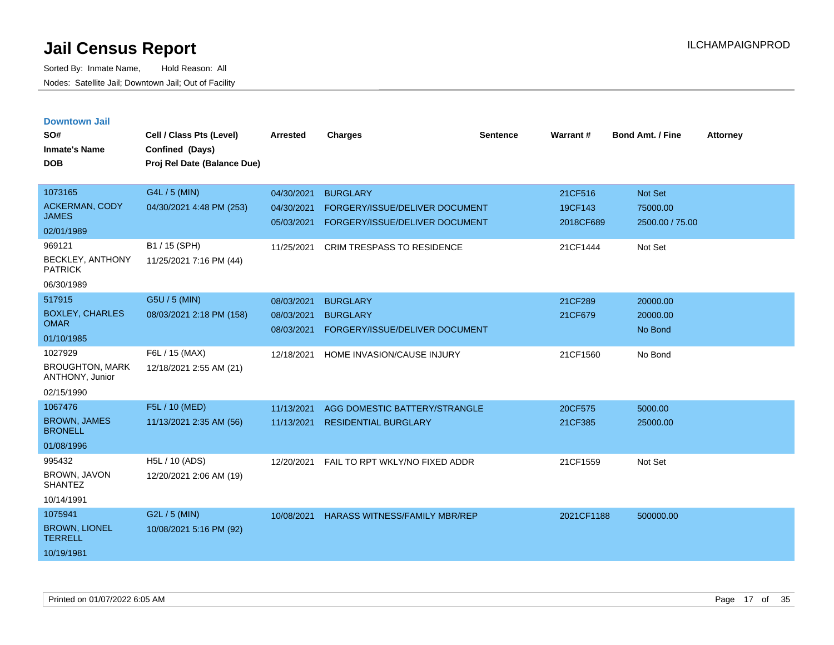| <b>Downtown Jail</b><br>SO#<br><b>Inmate's Name</b><br><b>DOB</b>                                   | Cell / Class Pts (Level)<br>Confined (Days)<br>Proj Rel Date (Balance Due)            | Arrested                                             | <b>Charges</b>                                                                                                           | Sentence | Warrant #                                   | <b>Bond Amt. / Fine</b>                                  | <b>Attorney</b> |
|-----------------------------------------------------------------------------------------------------|---------------------------------------------------------------------------------------|------------------------------------------------------|--------------------------------------------------------------------------------------------------------------------------|----------|---------------------------------------------|----------------------------------------------------------|-----------------|
| 1073165<br><b>ACKERMAN, CODY</b><br><b>JAMES</b><br>02/01/1989<br>969121<br><b>BECKLEY, ANTHONY</b> | G4L / 5 (MIN)<br>04/30/2021 4:48 PM (253)<br>B1 / 15 (SPH)<br>11/25/2021 7:16 PM (44) | 04/30/2021<br>04/30/2021<br>05/03/2021<br>11/25/2021 | <b>BURGLARY</b><br>FORGERY/ISSUE/DELIVER DOCUMENT<br>FORGERY/ISSUE/DELIVER DOCUMENT<br><b>CRIM TRESPASS TO RESIDENCE</b> |          | 21CF516<br>19CF143<br>2018CF689<br>21CF1444 | <b>Not Set</b><br>75000.00<br>2500.00 / 75.00<br>Not Set |                 |
| <b>PATRICK</b><br>06/30/1989                                                                        |                                                                                       |                                                      |                                                                                                                          |          |                                             |                                                          |                 |
| 517915<br><b>BOXLEY, CHARLES</b><br><b>OMAR</b><br>01/10/1985                                       | G5U / 5 (MIN)<br>08/03/2021 2:18 PM (158)                                             | 08/03/2021<br>08/03/2021<br>08/03/2021               | <b>BURGLARY</b><br><b>BURGLARY</b><br>FORGERY/ISSUE/DELIVER DOCUMENT                                                     |          | 21CF289<br>21CF679                          | 20000.00<br>20000.00<br>No Bond                          |                 |
| 1027929<br><b>BROUGHTON, MARK</b><br>ANTHONY, Junior<br>02/15/1990                                  | F6L / 15 (MAX)<br>12/18/2021 2:55 AM (21)                                             | 12/18/2021                                           | HOME INVASION/CAUSE INJURY                                                                                               |          | 21CF1560                                    | No Bond                                                  |                 |
| 1067476<br><b>BROWN, JAMES</b><br><b>BRONELL</b><br>01/08/1996                                      | F5L / 10 (MED)<br>11/13/2021 2:35 AM (56)                                             | 11/13/2021<br>11/13/2021                             | AGG DOMESTIC BATTERY/STRANGLE<br><b>RESIDENTIAL BURGLARY</b>                                                             |          | 20CF575<br>21CF385                          | 5000.00<br>25000.00                                      |                 |
| 995432<br>BROWN, JAVON<br><b>SHANTEZ</b><br>10/14/1991                                              | H5L / 10 (ADS)<br>12/20/2021 2:06 AM (19)                                             | 12/20/2021                                           | FAIL TO RPT WKLY/NO FIXED ADDR                                                                                           |          | 21CF1559                                    | Not Set                                                  |                 |
| 1075941<br><b>BROWN, LIONEL</b><br><b>TERRELL</b><br>10/19/1981                                     | G2L / 5 (MIN)<br>10/08/2021 5:16 PM (92)                                              | 10/08/2021                                           | <b>HARASS WITNESS/FAMILY MBR/REP</b>                                                                                     |          | 2021CF1188                                  | 500000.00                                                |                 |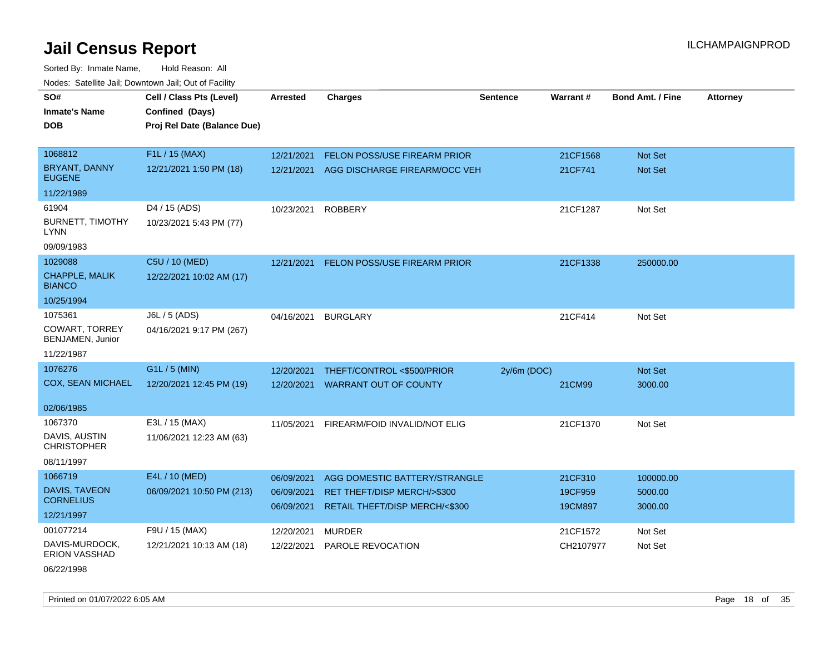Sorted By: Inmate Name, Hold Reason: All Nodes: Satellite Jail; Downtown Jail; Out of Facility

| SO#                                      | Cell / Class Pts (Level)    | <b>Arrested</b> | <b>Charges</b>                        | <b>Sentence</b> | Warrant#  | <b>Bond Amt. / Fine</b> | <b>Attorney</b> |
|------------------------------------------|-----------------------------|-----------------|---------------------------------------|-----------------|-----------|-------------------------|-----------------|
| <b>Inmate's Name</b>                     | Confined (Days)             |                 |                                       |                 |           |                         |                 |
| <b>DOB</b>                               | Proj Rel Date (Balance Due) |                 |                                       |                 |           |                         |                 |
|                                          |                             |                 |                                       |                 |           |                         |                 |
| 1068812                                  | F1L / 15 (MAX)              | 12/21/2021      | FELON POSS/USE FIREARM PRIOR          |                 | 21CF1568  | Not Set                 |                 |
| <b>BRYANT, DANNY</b><br><b>EUGENE</b>    | 12/21/2021 1:50 PM (18)     | 12/21/2021      | AGG DISCHARGE FIREARM/OCC VEH         |                 | 21CF741   | Not Set                 |                 |
| 11/22/1989                               |                             |                 |                                       |                 |           |                         |                 |
| 61904                                    | D4 / 15 (ADS)               | 10/23/2021      | <b>ROBBERY</b>                        |                 | 21CF1287  | Not Set                 |                 |
| <b>BURNETT, TIMOTHY</b><br><b>LYNN</b>   | 10/23/2021 5:43 PM (77)     |                 |                                       |                 |           |                         |                 |
| 09/09/1983                               |                             |                 |                                       |                 |           |                         |                 |
| 1029088                                  | C5U / 10 (MED)              | 12/21/2021      | FELON POSS/USE FIREARM PRIOR          |                 | 21CF1338  | 250000.00               |                 |
| CHAPPLE, MALIK<br><b>BIANCO</b>          | 12/22/2021 10:02 AM (17)    |                 |                                       |                 |           |                         |                 |
| 10/25/1994                               |                             |                 |                                       |                 |           |                         |                 |
| 1075361                                  | J6L / 5 (ADS)               | 04/16/2021      | <b>BURGLARY</b>                       |                 | 21CF414   | Not Set                 |                 |
| COWART, TORREY<br>BENJAMEN, Junior       | 04/16/2021 9:17 PM (267)    |                 |                                       |                 |           |                         |                 |
| 11/22/1987                               |                             |                 |                                       |                 |           |                         |                 |
| 1076276                                  | G1L / 5 (MIN)               | 12/20/2021      | THEFT/CONTROL <\$500/PRIOR            | $2y/6m$ (DOC)   |           | Not Set                 |                 |
| <b>COX, SEAN MICHAEL</b>                 | 12/20/2021 12:45 PM (19)    | 12/20/2021      | <b>WARRANT OUT OF COUNTY</b>          |                 | 21CM99    | 3000.00                 |                 |
|                                          |                             |                 |                                       |                 |           |                         |                 |
| 02/06/1985                               |                             |                 |                                       |                 |           |                         |                 |
| 1067370                                  | E3L / 15 (MAX)              | 11/05/2021      | FIREARM/FOID INVALID/NOT ELIG         |                 | 21CF1370  | Not Set                 |                 |
| DAVIS, AUSTIN<br><b>CHRISTOPHER</b>      | 11/06/2021 12:23 AM (63)    |                 |                                       |                 |           |                         |                 |
| 08/11/1997                               |                             |                 |                                       |                 |           |                         |                 |
| 1066719                                  | E4L / 10 (MED)              | 06/09/2021      | AGG DOMESTIC BATTERY/STRANGLE         |                 | 21CF310   | 100000.00               |                 |
| <b>DAVIS, TAVEON</b><br><b>CORNELIUS</b> | 06/09/2021 10:50 PM (213)   | 06/09/2021      | <b>RET THEFT/DISP MERCH/&gt;\$300</b> |                 | 19CF959   | 5000.00                 |                 |
| 12/21/1997                               |                             | 06/09/2021      | RETAIL THEFT/DISP MERCH/<\$300        |                 | 19CM897   | 3000.00                 |                 |
| 001077214                                | F9U / 15 (MAX)              | 12/20/2021      | <b>MURDER</b>                         |                 | 21CF1572  | Not Set                 |                 |
| DAVIS-MURDOCK,<br><b>ERION VASSHAD</b>   | 12/21/2021 10:13 AM (18)    | 12/22/2021      | PAROLE REVOCATION                     |                 | CH2107977 | Not Set                 |                 |

06/22/1998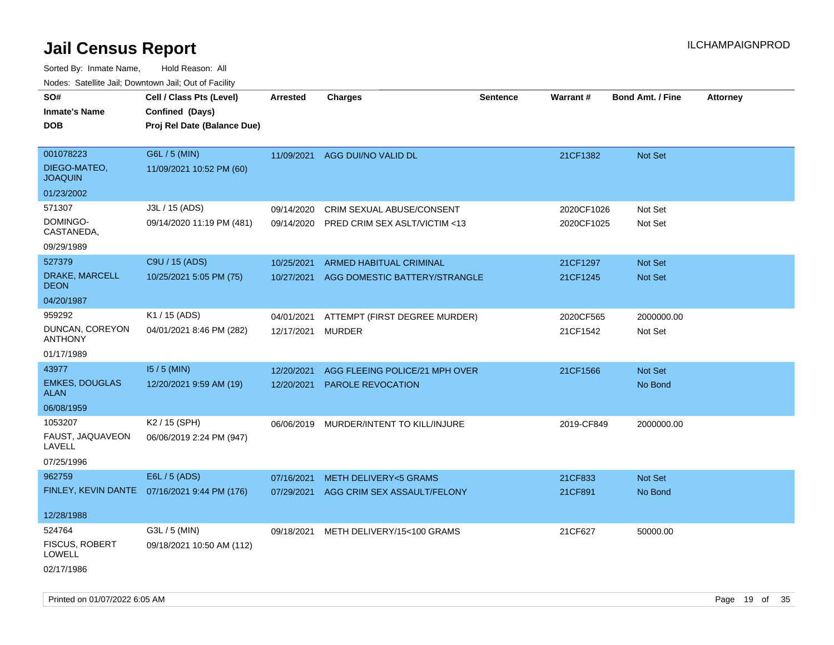| SO#<br><b>Inmate's Name</b><br><b>DOB</b>   | Cell / Class Pts (Level)<br>Confined (Days)<br>Proj Rel Date (Balance Due) | Arrested   | <b>Charges</b>                         | <b>Sentence</b> | Warrant#   | <b>Bond Amt. / Fine</b> | Attorney |
|---------------------------------------------|----------------------------------------------------------------------------|------------|----------------------------------------|-----------------|------------|-------------------------|----------|
| 001078223<br>DIEGO-MATEO,<br><b>JOAQUIN</b> | G6L / 5 (MIN)<br>11/09/2021 10:52 PM (60)                                  | 11/09/2021 | AGG DUI/NO VALID DL                    |                 | 21CF1382   | Not Set                 |          |
| 01/23/2002                                  |                                                                            |            |                                        |                 |            |                         |          |
| 571307                                      | J3L / 15 (ADS)                                                             | 09/14/2020 | <b>CRIM SEXUAL ABUSE/CONSENT</b>       |                 | 2020CF1026 | Not Set                 |          |
| DOMINGO-<br>CASTANEDA,                      | 09/14/2020 11:19 PM (481)                                                  | 09/14/2020 | PRED CRIM SEX ASLT/VICTIM <13          |                 | 2020CF1025 | Not Set                 |          |
| 09/29/1989                                  |                                                                            |            |                                        |                 |            |                         |          |
| 527379                                      | C9U / 15 (ADS)                                                             | 10/25/2021 | ARMED HABITUAL CRIMINAL                |                 | 21CF1297   | Not Set                 |          |
| DRAKE, MARCELL<br><b>DEON</b>               | 10/25/2021 5:05 PM (75)                                                    | 10/27/2021 | AGG DOMESTIC BATTERY/STRANGLE          |                 | 21CF1245   | <b>Not Set</b>          |          |
| 04/20/1987                                  |                                                                            |            |                                        |                 |            |                         |          |
| 959292                                      | K1 / 15 (ADS)                                                              | 04/01/2021 | ATTEMPT (FIRST DEGREE MURDER)          |                 | 2020CF565  | 2000000.00              |          |
| DUNCAN, COREYON<br><b>ANTHONY</b>           | 04/01/2021 8:46 PM (282)                                                   | 12/17/2021 | <b>MURDER</b>                          |                 | 21CF1542   | Not Set                 |          |
| 01/17/1989                                  |                                                                            |            |                                        |                 |            |                         |          |
| 43977                                       | $15/5$ (MIN)                                                               | 12/20/2021 | AGG FLEEING POLICE/21 MPH OVER         |                 | 21CF1566   | Not Set                 |          |
| <b>EMKES, DOUGLAS</b><br><b>ALAN</b>        | 12/20/2021 9:59 AM (19)                                                    | 12/20/2021 | PAROLE REVOCATION                      |                 |            | No Bond                 |          |
| 06/08/1959                                  |                                                                            |            |                                        |                 |            |                         |          |
| 1053207                                     | K2 / 15 (SPH)                                                              | 06/06/2019 | MURDER/INTENT TO KILL/INJURE           |                 | 2019-CF849 | 2000000.00              |          |
| FAUST, JAQUAVEON<br>LAVELL                  | 06/06/2019 2:24 PM (947)                                                   |            |                                        |                 |            |                         |          |
| 07/25/1996                                  |                                                                            |            |                                        |                 |            |                         |          |
| 962759                                      | E6L / 5 (ADS)                                                              | 07/16/2021 | <b>METH DELIVERY&lt;5 GRAMS</b>        |                 | 21CF833    | Not Set                 |          |
|                                             | FINLEY, KEVIN DANTE 07/16/2021 9:44 PM (176)                               |            | 07/29/2021 AGG CRIM SEX ASSAULT/FELONY |                 | 21CF891    | No Bond                 |          |
| 12/28/1988                                  |                                                                            |            |                                        |                 |            |                         |          |
| 524764                                      | G3L / 5 (MIN)                                                              | 09/18/2021 | METH DELIVERY/15<100 GRAMS             |                 | 21CF627    | 50000.00                |          |
| <b>FISCUS, ROBERT</b><br>LOWELL             | 09/18/2021 10:50 AM (112)                                                  |            |                                        |                 |            |                         |          |
| 02/17/1986                                  |                                                                            |            |                                        |                 |            |                         |          |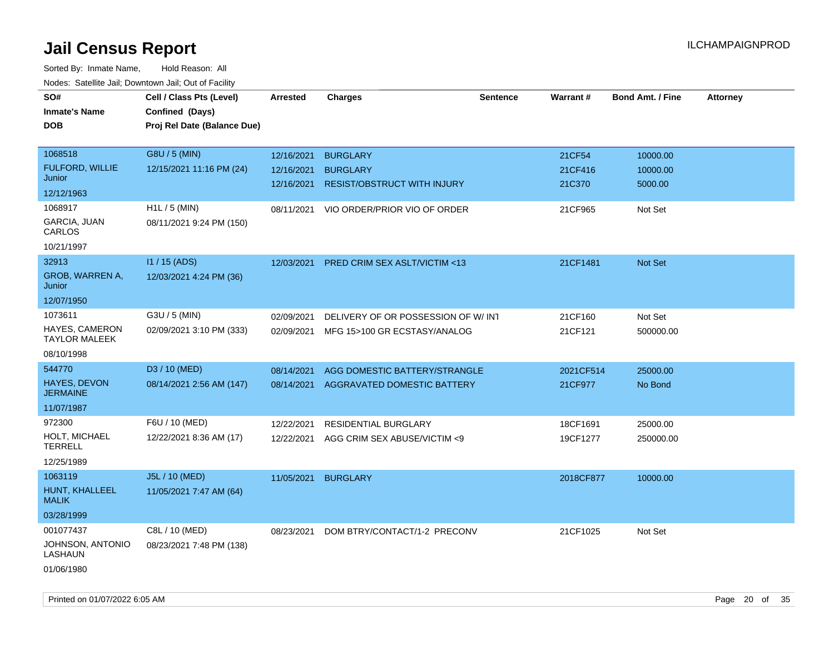| roaco. Catolino dall, Downtown dall, Out of Fability |                             |            |                                    |                 |                 |                         |                 |
|------------------------------------------------------|-----------------------------|------------|------------------------------------|-----------------|-----------------|-------------------------|-----------------|
| SO#                                                  | Cell / Class Pts (Level)    | Arrested   | <b>Charges</b>                     | <b>Sentence</b> | <b>Warrant#</b> | <b>Bond Amt. / Fine</b> | <b>Attorney</b> |
| <b>Inmate's Name</b>                                 | Confined (Days)             |            |                                    |                 |                 |                         |                 |
| <b>DOB</b>                                           | Proj Rel Date (Balance Due) |            |                                    |                 |                 |                         |                 |
|                                                      |                             |            |                                    |                 |                 |                         |                 |
| 1068518                                              | G8U / 5 (MIN)               | 12/16/2021 | <b>BURGLARY</b>                    |                 | 21CF54          | 10000.00                |                 |
| FULFORD, WILLIE                                      | 12/15/2021 11:16 PM (24)    | 12/16/2021 | <b>BURGLARY</b>                    |                 | 21CF416         | 10000.00                |                 |
| Junior                                               |                             | 12/16/2021 | <b>RESIST/OBSTRUCT WITH INJURY</b> |                 | 21C370          | 5000.00                 |                 |
| 12/12/1963                                           |                             |            |                                    |                 |                 |                         |                 |
| 1068917                                              | $H1L / 5$ (MIN)             | 08/11/2021 | VIO ORDER/PRIOR VIO OF ORDER       |                 | 21CF965         | Not Set                 |                 |
| GARCIA, JUAN<br>CARLOS                               | 08/11/2021 9:24 PM (150)    |            |                                    |                 |                 |                         |                 |
| 10/21/1997                                           |                             |            |                                    |                 |                 |                         |                 |
| 32913                                                | I1 / 15 (ADS)               | 12/03/2021 | PRED CRIM SEX ASLT/VICTIM <13      |                 | 21CF1481        | <b>Not Set</b>          |                 |
| GROB, WARREN A,<br>Junior                            | 12/03/2021 4:24 PM (36)     |            |                                    |                 |                 |                         |                 |
| 12/07/1950                                           |                             |            |                                    |                 |                 |                         |                 |
| 1073611                                              | G3U / 5 (MIN)               | 02/09/2021 | DELIVERY OF OR POSSESSION OF W/INT |                 | 21CF160         | Not Set                 |                 |
| HAYES, CAMERON<br><b>TAYLOR MALEEK</b>               | 02/09/2021 3:10 PM (333)    | 02/09/2021 | MFG 15>100 GR ECSTASY/ANALOG       |                 | 21CF121         | 500000.00               |                 |
| 08/10/1998                                           |                             |            |                                    |                 |                 |                         |                 |
| 544770                                               | D3 / 10 (MED)               | 08/14/2021 | AGG DOMESTIC BATTERY/STRANGLE      |                 | 2021CF514       | 25000.00                |                 |
| <b>HAYES, DEVON</b>                                  | 08/14/2021 2:56 AM (147)    | 08/14/2021 | AGGRAVATED DOMESTIC BATTERY        |                 | 21CF977         | No Bond                 |                 |
| JERMAINE                                             |                             |            |                                    |                 |                 |                         |                 |
| 11/07/1987                                           |                             |            |                                    |                 |                 |                         |                 |
| 972300                                               | F6U / 10 (MED)              | 12/22/2021 | <b>RESIDENTIAL BURGLARY</b>        |                 | 18CF1691        | 25000.00                |                 |
| <b>HOLT, MICHAEL</b><br><b>TERRELL</b>               | 12/22/2021 8:36 AM (17)     | 12/22/2021 | AGG CRIM SEX ABUSE/VICTIM <9       |                 | 19CF1277        | 250000.00               |                 |
| 12/25/1989                                           |                             |            |                                    |                 |                 |                         |                 |
| 1063119                                              | J5L / 10 (MED)              | 11/05/2021 | <b>BURGLARY</b>                    |                 | 2018CF877       | 10000.00                |                 |
| HUNT, KHALLEEL<br><b>MALIK</b>                       | 11/05/2021 7:47 AM (64)     |            |                                    |                 |                 |                         |                 |
| 03/28/1999                                           |                             |            |                                    |                 |                 |                         |                 |
| 001077437                                            | C8L / 10 (MED)              | 08/23/2021 | DOM BTRY/CONTACT/1-2 PRECONV       |                 | 21CF1025        | Not Set                 |                 |
| JOHNSON, ANTONIO<br>LASHAUN                          | 08/23/2021 7:48 PM (138)    |            |                                    |                 |                 |                         |                 |
| 01/06/1980                                           |                             |            |                                    |                 |                 |                         |                 |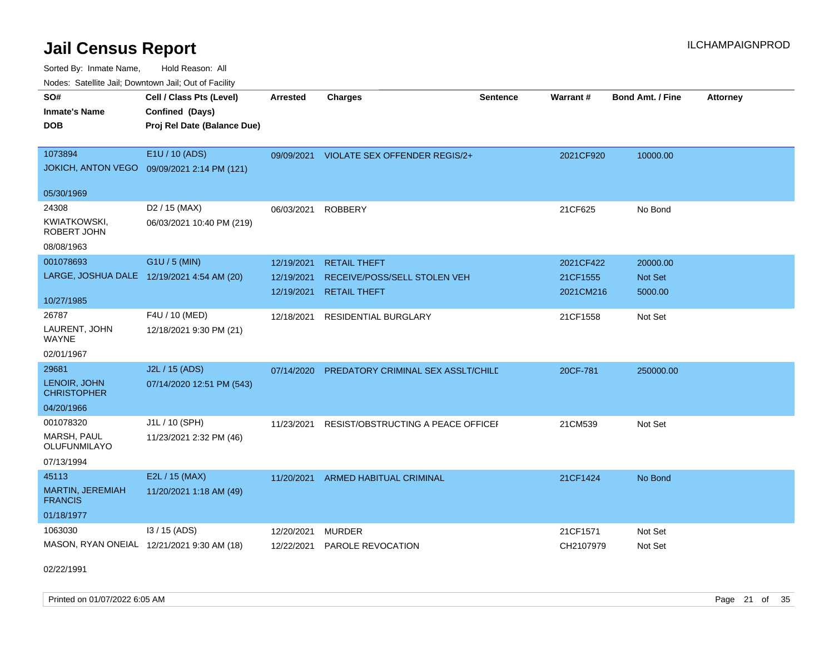Sorted By: Inmate Name, Hold Reason: All Nodes: Satellite Jail; Downtown Jail; Out of Facility

| rougs. Calcing Jan, Downtown Jan, Out of Facility |                                             |                 |                                           |                 |                 |                         |                 |
|---------------------------------------------------|---------------------------------------------|-----------------|-------------------------------------------|-----------------|-----------------|-------------------------|-----------------|
| SO#                                               | Cell / Class Pts (Level)                    | <b>Arrested</b> | <b>Charges</b>                            | <b>Sentence</b> | <b>Warrant#</b> | <b>Bond Amt. / Fine</b> | <b>Attorney</b> |
| <b>Inmate's Name</b>                              | Confined (Days)                             |                 |                                           |                 |                 |                         |                 |
| <b>DOB</b>                                        | Proj Rel Date (Balance Due)                 |                 |                                           |                 |                 |                         |                 |
|                                                   |                                             |                 |                                           |                 |                 |                         |                 |
| 1073894                                           | E1U / 10 (ADS)                              |                 | 09/09/2021 VIOLATE SEX OFFENDER REGIS/2+  |                 | 2021CF920       | 10000.00                |                 |
|                                                   | JOKICH, ANTON VEGO 09/09/2021 2:14 PM (121) |                 |                                           |                 |                 |                         |                 |
| 05/30/1969                                        |                                             |                 |                                           |                 |                 |                         |                 |
| 24308                                             | D <sub>2</sub> / 15 (MAX)                   | 06/03/2021      | <b>ROBBERY</b>                            |                 | 21CF625         | No Bond                 |                 |
| <b>KWIATKOWSKI,</b><br>ROBERT JOHN                | 06/03/2021 10:40 PM (219)                   |                 |                                           |                 |                 |                         |                 |
| 08/08/1963                                        |                                             |                 |                                           |                 |                 |                         |                 |
| 001078693                                         | G1U / 5 (MIN)                               | 12/19/2021      | <b>RETAIL THEFT</b>                       |                 | 2021CF422       | 20000.00                |                 |
|                                                   | LARGE, JOSHUA DALE 12/19/2021 4:54 AM (20)  | 12/19/2021      | RECEIVE/POSS/SELL STOLEN VEH              |                 | 21CF1555        | Not Set                 |                 |
|                                                   |                                             | 12/19/2021      | <b>RETAIL THEFT</b>                       |                 | 2021CM216       | 5000.00                 |                 |
| 10/27/1985                                        |                                             |                 |                                           |                 |                 |                         |                 |
| 26787                                             | F4U / 10 (MED)                              | 12/18/2021      | <b>RESIDENTIAL BURGLARY</b>               |                 | 21CF1558        | Not Set                 |                 |
| LAURENT, JOHN<br>WAYNE                            | 12/18/2021 9:30 PM (21)                     |                 |                                           |                 |                 |                         |                 |
| 02/01/1967                                        |                                             |                 |                                           |                 |                 |                         |                 |
| 29681                                             | J2L / 15 (ADS)                              | 07/14/2020      | <b>PREDATORY CRIMINAL SEX ASSLT/CHILE</b> |                 | 20CF-781        | 250000.00               |                 |
| LENOIR, JOHN<br><b>CHRISTOPHER</b>                | 07/14/2020 12:51 PM (543)                   |                 |                                           |                 |                 |                         |                 |
| 04/20/1966                                        |                                             |                 |                                           |                 |                 |                         |                 |
| 001078320                                         | J1L / 10 (SPH)                              | 11/23/2021      | RESIST/OBSTRUCTING A PEACE OFFICEF        |                 | 21CM539         | Not Set                 |                 |
| MARSH, PAUL<br>OLUFUNMILAYO                       | 11/23/2021 2:32 PM (46)                     |                 |                                           |                 |                 |                         |                 |
| 07/13/1994                                        |                                             |                 |                                           |                 |                 |                         |                 |
| 45113                                             | E2L / 15 (MAX)                              | 11/20/2021      | ARMED HABITUAL CRIMINAL                   |                 | 21CF1424        | No Bond                 |                 |
| <b>MARTIN, JEREMIAH</b><br><b>FRANCIS</b>         | 11/20/2021 1:18 AM (49)                     |                 |                                           |                 |                 |                         |                 |
| 01/18/1977                                        |                                             |                 |                                           |                 |                 |                         |                 |
| 1063030                                           | 13 / 15 (ADS)                               | 12/20/2021      | <b>MURDER</b>                             |                 | 21CF1571        | Not Set                 |                 |
|                                                   | MASON, RYAN ONEIAL 12/21/2021 9:30 AM (18)  | 12/22/2021      | <b>PAROLE REVOCATION</b>                  |                 | CH2107979       | Not Set                 |                 |

02/22/1991

Printed on 01/07/2022 6:05 AM Page 21 of 35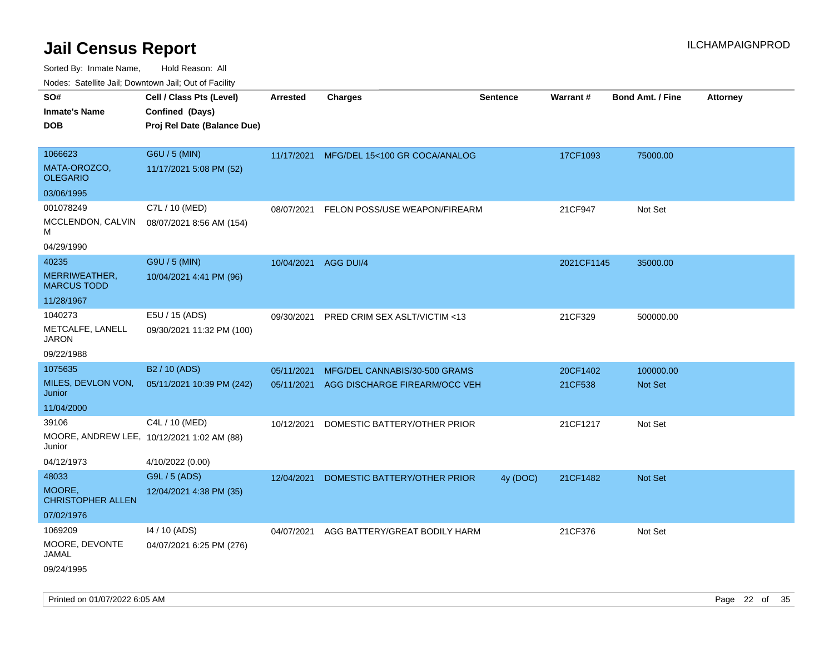Sorted By: Inmate Name, Hold Reason: All Nodes: Satellite Jail; Downtown Jail; Out of Facility

| Hougo. Catolino can, Bowmown can, Cat or Fagint      |                                                                            |                      |                                          |                 |                 |                         |                 |
|------------------------------------------------------|----------------------------------------------------------------------------|----------------------|------------------------------------------|-----------------|-----------------|-------------------------|-----------------|
| SO#<br><b>Inmate's Name</b><br><b>DOB</b>            | Cell / Class Pts (Level)<br>Confined (Days)<br>Proj Rel Date (Balance Due) | Arrested             | <b>Charges</b>                           | <b>Sentence</b> | <b>Warrant#</b> | <b>Bond Amt. / Fine</b> | <b>Attorney</b> |
| 1066623<br>MATA-OROZCO,<br><b>OLEGARIO</b>           | G6U / 5 (MIN)<br>11/17/2021 5:08 PM (52)                                   |                      | 11/17/2021 MFG/DEL 15<100 GR COCA/ANALOG |                 | 17CF1093        | 75000.00                |                 |
| 03/06/1995                                           |                                                                            |                      |                                          |                 |                 |                         |                 |
| 001078249                                            | C7L / 10 (MED)                                                             | 08/07/2021           | FELON POSS/USE WEAPON/FIREARM            |                 | 21CF947         | Not Set                 |                 |
| MCCLENDON, CALVIN<br>м                               | 08/07/2021 8:56 AM (154)                                                   |                      |                                          |                 |                 |                         |                 |
| 04/29/1990                                           |                                                                            |                      |                                          |                 |                 |                         |                 |
| 40235                                                | G9U / 5 (MIN)                                                              | 10/04/2021 AGG DUI/4 |                                          |                 | 2021CF1145      | 35000.00                |                 |
| MERRIWEATHER,<br><b>MARCUS TODD</b>                  | 10/04/2021 4:41 PM (96)                                                    |                      |                                          |                 |                 |                         |                 |
| 11/28/1967                                           |                                                                            |                      |                                          |                 |                 |                         |                 |
| 1040273<br>METCALFE, LANELL<br><b>JARON</b>          | E5U / 15 (ADS)<br>09/30/2021 11:32 PM (100)                                | 09/30/2021           | PRED CRIM SEX ASLT/VICTIM <13            |                 | 21CF329         | 500000.00               |                 |
| 09/22/1988                                           |                                                                            |                      |                                          |                 |                 |                         |                 |
| 1075635                                              | B <sub>2</sub> / 10 (ADS)                                                  | 05/11/2021           | MFG/DEL CANNABIS/30-500 GRAMS            |                 | 20CF1402        | 100000.00               |                 |
| MILES, DEVLON VON,<br>Junior                         | 05/11/2021 10:39 PM (242)                                                  | 05/11/2021           | AGG DISCHARGE FIREARM/OCC VEH            |                 | 21CF538         | Not Set                 |                 |
| 11/04/2000                                           |                                                                            |                      |                                          |                 |                 |                         |                 |
| 39106                                                | C4L / 10 (MED)                                                             | 10/12/2021           | DOMESTIC BATTERY/OTHER PRIOR             |                 | 21CF1217        | Not Set                 |                 |
| MOORE, ANDREW LEE, 10/12/2021 1:02 AM (88)<br>Junior |                                                                            |                      |                                          |                 |                 |                         |                 |
| 04/12/1973                                           | 4/10/2022 (0.00)                                                           |                      |                                          |                 |                 |                         |                 |
| 48033                                                | G9L / 5 (ADS)                                                              | 12/04/2021           | DOMESTIC BATTERY/OTHER PRIOR             | 4y (DOC)        | 21CF1482        | Not Set                 |                 |
| MOORE,<br><b>CHRISTOPHER ALLEN</b>                   | 12/04/2021 4:38 PM (35)                                                    |                      |                                          |                 |                 |                         |                 |
| 07/02/1976                                           |                                                                            |                      |                                          |                 |                 |                         |                 |
| 1069209                                              | 14 / 10 (ADS)                                                              | 04/07/2021           | AGG BATTERY/GREAT BODILY HARM            |                 | 21CF376         | Not Set                 |                 |
| MOORE, DEVONTE<br>JAMAL                              | 04/07/2021 6:25 PM (276)                                                   |                      |                                          |                 |                 |                         |                 |
| 09/24/1995                                           |                                                                            |                      |                                          |                 |                 |                         |                 |

Printed on 01/07/2022 6:05 AM Page 22 of 35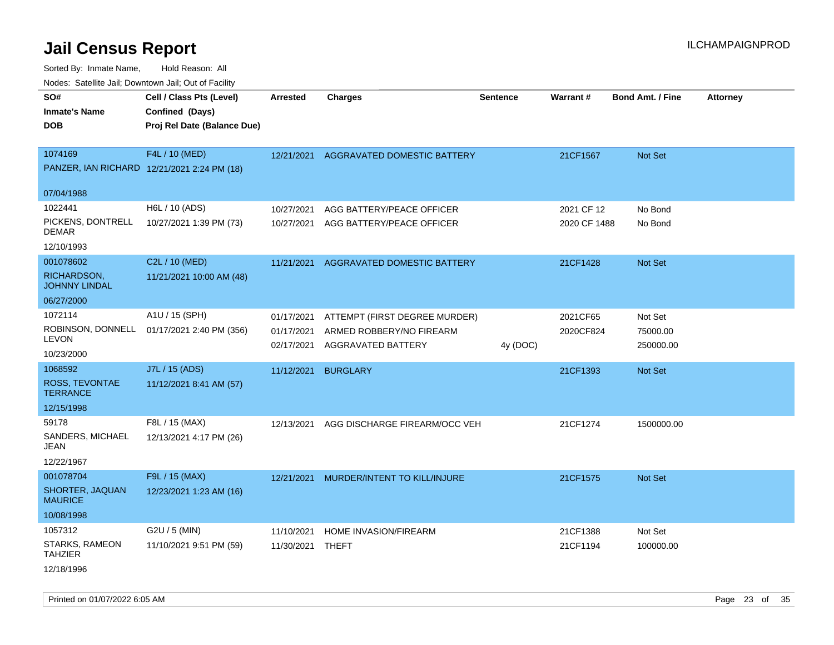Sorted By: Inmate Name, Hold Reason: All Nodes: Satellite Jail; Downtown Jail; Out of Facility

| Nuuts. Saltiille Jall, Duwilluwii Jall, Oul of Facility |                                             |                          |                                                |          |              |                         |                 |
|---------------------------------------------------------|---------------------------------------------|--------------------------|------------------------------------------------|----------|--------------|-------------------------|-----------------|
| SO#                                                     | Cell / Class Pts (Level)                    | Arrested                 | <b>Charges</b>                                 | Sentence | Warrant#     | <b>Bond Amt. / Fine</b> | <b>Attorney</b> |
| <b>Inmate's Name</b>                                    | Confined (Days)                             |                          |                                                |          |              |                         |                 |
| <b>DOB</b>                                              | Proj Rel Date (Balance Due)                 |                          |                                                |          |              |                         |                 |
|                                                         |                                             |                          |                                                |          |              |                         |                 |
| 1074169                                                 | F4L / 10 (MED)                              | 12/21/2021               | <b>AGGRAVATED DOMESTIC BATTERY</b>             |          | 21CF1567     | <b>Not Set</b>          |                 |
|                                                         | PANZER, IAN RICHARD 12/21/2021 2:24 PM (18) |                          |                                                |          |              |                         |                 |
| 07/04/1988                                              |                                             |                          |                                                |          |              |                         |                 |
| 1022441                                                 | H6L / 10 (ADS)                              | 10/27/2021               | AGG BATTERY/PEACE OFFICER                      |          | 2021 CF 12   | No Bond                 |                 |
| PICKENS, DONTRELL<br>DEMAR                              | 10/27/2021 1:39 PM (73)                     | 10/27/2021               | AGG BATTERY/PEACE OFFICER                      |          | 2020 CF 1488 | No Bond                 |                 |
| 12/10/1993                                              |                                             |                          |                                                |          |              |                         |                 |
| 001078602                                               | C2L / 10 (MED)                              | 11/21/2021               | AGGRAVATED DOMESTIC BATTERY                    |          | 21CF1428     | Not Set                 |                 |
| RICHARDSON,<br><b>JOHNNY LINDAL</b>                     | 11/21/2021 10:00 AM (48)                    |                          |                                                |          |              |                         |                 |
| 06/27/2000                                              |                                             |                          |                                                |          |              |                         |                 |
| 1072114                                                 | A1U / 15 (SPH)                              | 01/17/2021               | ATTEMPT (FIRST DEGREE MURDER)                  |          | 2021CF65     | Not Set                 |                 |
| ROBINSON, DONNELL<br>LEVON                              | 01/17/2021 2:40 PM (356)                    | 01/17/2021<br>02/17/2021 | ARMED ROBBERY/NO FIREARM<br>AGGRAVATED BATTERY | 4y (DOC) | 2020CF824    | 75000.00<br>250000.00   |                 |
| 10/23/2000                                              |                                             |                          |                                                |          |              |                         |                 |
| 1068592                                                 | J7L / 15 (ADS)                              | 11/12/2021               | <b>BURGLARY</b>                                |          | 21CF1393     | <b>Not Set</b>          |                 |
| ROSS, TEVONTAE<br><b>TERRANCE</b>                       | 11/12/2021 8:41 AM (57)                     |                          |                                                |          |              |                         |                 |
| 12/15/1998                                              |                                             |                          |                                                |          |              |                         |                 |
| 59178                                                   | F8L / 15 (MAX)                              | 12/13/2021               | AGG DISCHARGE FIREARM/OCC VEH                  |          | 21CF1274     | 1500000.00              |                 |
| SANDERS, MICHAEL<br>JEAN                                | 12/13/2021 4:17 PM (26)                     |                          |                                                |          |              |                         |                 |
| 12/22/1967                                              |                                             |                          |                                                |          |              |                         |                 |
| 001078704                                               | F9L / 15 (MAX)                              | 12/21/2021               | MURDER/INTENT TO KILL/INJURE                   |          | 21CF1575     | <b>Not Set</b>          |                 |
| SHORTER, JAQUAN<br><b>MAURICE</b>                       | 12/23/2021 1:23 AM (16)                     |                          |                                                |          |              |                         |                 |
| 10/08/1998                                              |                                             |                          |                                                |          |              |                         |                 |
| 1057312                                                 | G2U / 5 (MIN)                               | 11/10/2021               | HOME INVASION/FIREARM                          |          | 21CF1388     | Not Set                 |                 |
| STARKS, RAMEON<br>TAHZIER                               | 11/10/2021 9:51 PM (59)                     | 11/30/2021               | <b>THEFT</b>                                   |          | 21CF1194     | 100000.00               |                 |
| 12/18/1996                                              |                                             |                          |                                                |          |              |                         |                 |

Printed on 01/07/2022 6:05 AM Page 23 of 35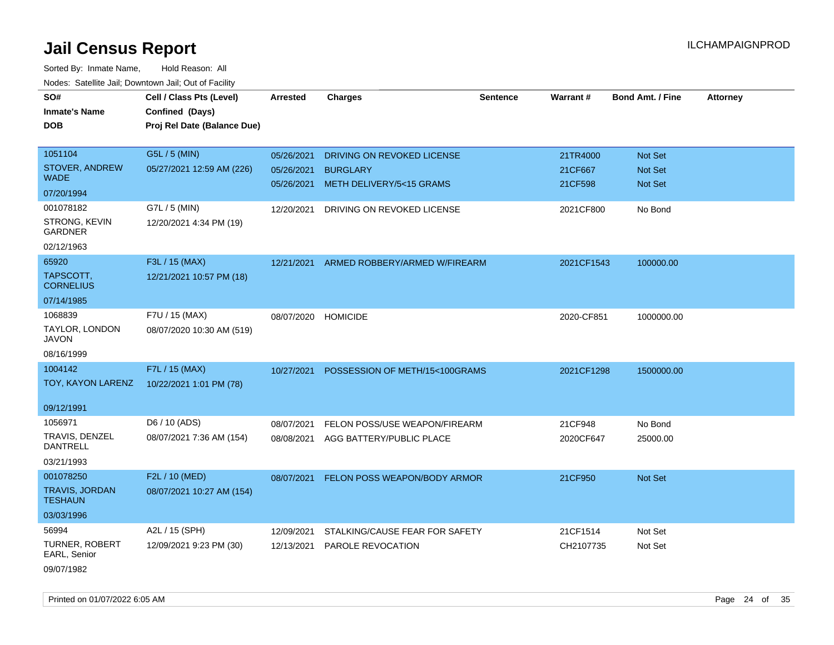| roaco. Catolino cali, Domntonn cali, Out of Facility |                             |                 |                                |                 |            |                         |                 |
|------------------------------------------------------|-----------------------------|-----------------|--------------------------------|-----------------|------------|-------------------------|-----------------|
| SO#                                                  | Cell / Class Pts (Level)    | <b>Arrested</b> | <b>Charges</b>                 | <b>Sentence</b> | Warrant#   | <b>Bond Amt. / Fine</b> | <b>Attorney</b> |
| <b>Inmate's Name</b>                                 | Confined (Days)             |                 |                                |                 |            |                         |                 |
| <b>DOB</b>                                           | Proj Rel Date (Balance Due) |                 |                                |                 |            |                         |                 |
|                                                      |                             |                 |                                |                 |            |                         |                 |
| 1051104                                              | G5L / 5 (MIN)               | 05/26/2021      | DRIVING ON REVOKED LICENSE     |                 | 21TR4000   | Not Set                 |                 |
| STOVER, ANDREW                                       | 05/27/2021 12:59 AM (226)   | 05/26/2021      | <b>BURGLARY</b>                |                 | 21CF667    | <b>Not Set</b>          |                 |
| <b>WADE</b>                                          |                             | 05/26/2021      | METH DELIVERY/5<15 GRAMS       |                 | 21CF598    | Not Set                 |                 |
| 07/20/1994                                           |                             |                 |                                |                 |            |                         |                 |
| 001078182                                            | G7L / 5 (MIN)               | 12/20/2021      | DRIVING ON REVOKED LICENSE     |                 | 2021CF800  | No Bond                 |                 |
| STRONG, KEVIN<br><b>GARDNER</b>                      | 12/20/2021 4:34 PM (19)     |                 |                                |                 |            |                         |                 |
| 02/12/1963                                           |                             |                 |                                |                 |            |                         |                 |
| 65920                                                | F3L / 15 (MAX)              | 12/21/2021      | ARMED ROBBERY/ARMED W/FIREARM  |                 | 2021CF1543 | 100000.00               |                 |
| TAPSCOTT,<br><b>CORNELIUS</b>                        | 12/21/2021 10:57 PM (18)    |                 |                                |                 |            |                         |                 |
| 07/14/1985                                           |                             |                 |                                |                 |            |                         |                 |
| 1068839                                              | F7U / 15 (MAX)              | 08/07/2020      | <b>HOMICIDE</b>                |                 | 2020-CF851 | 1000000.00              |                 |
| TAYLOR, LONDON<br><b>JAVON</b>                       | 08/07/2020 10:30 AM (519)   |                 |                                |                 |            |                         |                 |
| 08/16/1999                                           |                             |                 |                                |                 |            |                         |                 |
| 1004142                                              | F7L / 15 (MAX)              | 10/27/2021      | POSSESSION OF METH/15<100GRAMS |                 | 2021CF1298 | 1500000.00              |                 |
| TOY, KAYON LARENZ                                    | 10/22/2021 1:01 PM (78)     |                 |                                |                 |            |                         |                 |
|                                                      |                             |                 |                                |                 |            |                         |                 |
| 09/12/1991                                           |                             |                 |                                |                 |            |                         |                 |
| 1056971                                              | D6 / 10 (ADS)               | 08/07/2021      | FELON POSS/USE WEAPON/FIREARM  |                 | 21CF948    | No Bond                 |                 |
| TRAVIS, DENZEL<br><b>DANTRELL</b>                    | 08/07/2021 7:36 AM (154)    | 08/08/2021      | AGG BATTERY/PUBLIC PLACE       |                 | 2020CF647  | 25000.00                |                 |
| 03/21/1993                                           |                             |                 |                                |                 |            |                         |                 |
| 001078250                                            | F2L / 10 (MED)              | 08/07/2021      | FELON POSS WEAPON/BODY ARMOR   |                 | 21CF950    | Not Set                 |                 |
| <b>TRAVIS, JORDAN</b><br><b>TESHAUN</b>              | 08/07/2021 10:27 AM (154)   |                 |                                |                 |            |                         |                 |
| 03/03/1996                                           |                             |                 |                                |                 |            |                         |                 |
| 56994                                                | A2L / 15 (SPH)              | 12/09/2021      | STALKING/CAUSE FEAR FOR SAFETY |                 | 21CF1514   | Not Set                 |                 |
| <b>TURNER, ROBERT</b><br>EARL, Senior                | 12/09/2021 9:23 PM (30)     | 12/13/2021      | <b>PAROLE REVOCATION</b>       |                 | CH2107735  | Not Set                 |                 |
| 09/07/1982                                           |                             |                 |                                |                 |            |                         |                 |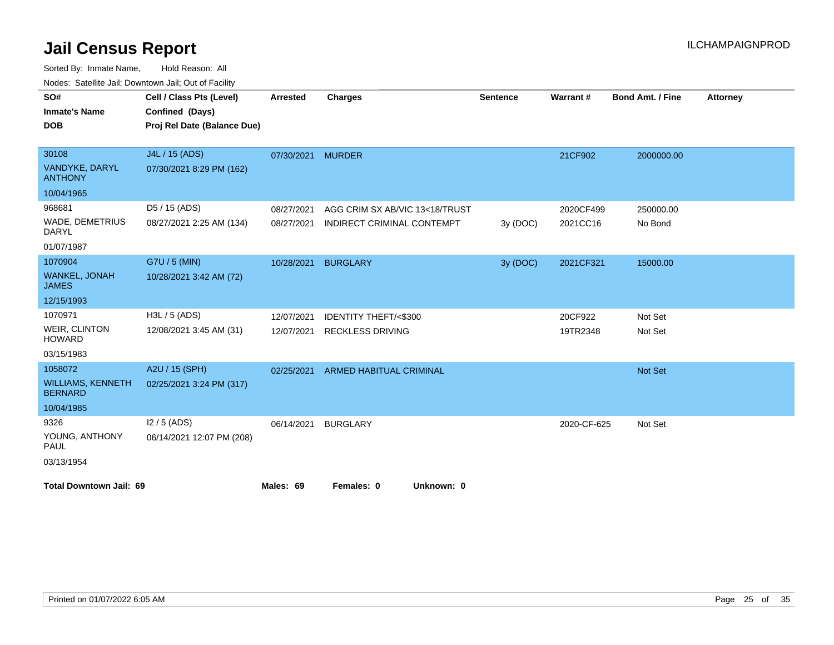| SO#                                        | Cell / Class Pts (Level)    | <b>Arrested</b> | <b>Charges</b>                  | <b>Sentence</b> | Warrant#    | <b>Bond Amt. / Fine</b> | <b>Attorney</b> |
|--------------------------------------------|-----------------------------|-----------------|---------------------------------|-----------------|-------------|-------------------------|-----------------|
| <b>Inmate's Name</b>                       | Confined (Days)             |                 |                                 |                 |             |                         |                 |
| <b>DOB</b>                                 | Proj Rel Date (Balance Due) |                 |                                 |                 |             |                         |                 |
|                                            |                             |                 |                                 |                 |             |                         |                 |
| 30108                                      | J4L / 15 (ADS)              | 07/30/2021      | <b>MURDER</b>                   |                 | 21CF902     | 2000000.00              |                 |
| VANDYKE, DARYL<br><b>ANTHONY</b>           | 07/30/2021 8:29 PM (162)    |                 |                                 |                 |             |                         |                 |
| 10/04/1965                                 |                             |                 |                                 |                 |             |                         |                 |
| 968681                                     | D5 / 15 (ADS)               | 08/27/2021      | AGG CRIM SX AB/VIC 13<18/TRUST  |                 | 2020CF499   | 250000.00               |                 |
| WADE, DEMETRIUS<br>DARYL                   | 08/27/2021 2:25 AM (134)    | 08/27/2021      | INDIRECT CRIMINAL CONTEMPT      | 3y(DOC)         | 2021CC16    | No Bond                 |                 |
| 01/07/1987                                 |                             |                 |                                 |                 |             |                         |                 |
| 1070904                                    | G7U / 5 (MIN)               | 10/28/2021      | <b>BURGLARY</b>                 | 3y (DOC)        | 2021CF321   | 15000.00                |                 |
| <b>WANKEL, JONAH</b><br><b>JAMES</b>       | 10/28/2021 3:42 AM (72)     |                 |                                 |                 |             |                         |                 |
| 12/15/1993                                 |                             |                 |                                 |                 |             |                         |                 |
| 1070971                                    | H3L / 5 (ADS)               | 12/07/2021      | <b>IDENTITY THEFT/&lt;\$300</b> |                 | 20CF922     | Not Set                 |                 |
| WEIR, CLINTON<br><b>HOWARD</b>             | 12/08/2021 3:45 AM (31)     | 12/07/2021      | <b>RECKLESS DRIVING</b>         |                 | 19TR2348    | Not Set                 |                 |
| 03/15/1983                                 |                             |                 |                                 |                 |             |                         |                 |
| 1058072                                    | A2U / 15 (SPH)              | 02/25/2021      | <b>ARMED HABITUAL CRIMINAL</b>  |                 |             | Not Set                 |                 |
| <b>WILLIAMS, KENNETH</b><br><b>BERNARD</b> | 02/25/2021 3:24 PM (317)    |                 |                                 |                 |             |                         |                 |
| 10/04/1985                                 |                             |                 |                                 |                 |             |                         |                 |
| 9326                                       | $12/5$ (ADS)                | 06/14/2021      | <b>BURGLARY</b>                 |                 | 2020-CF-625 | Not Set                 |                 |
| YOUNG, ANTHONY<br><b>PAUL</b>              | 06/14/2021 12:07 PM (208)   |                 |                                 |                 |             |                         |                 |
| 03/13/1954                                 |                             |                 |                                 |                 |             |                         |                 |
| <b>Total Downtown Jail: 69</b>             |                             | Males: 69       | Females: 0<br>Unknown: 0        |                 |             |                         |                 |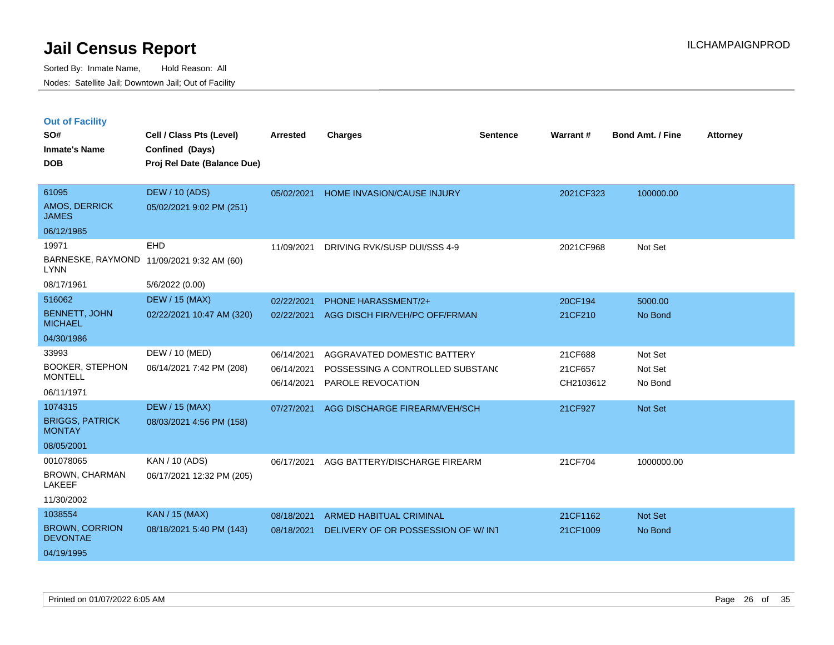|  | <b>Out of Facility</b> |  |
|--|------------------------|--|
|  |                        |  |

| SO#<br><b>Inmate's Name</b><br><b>DOB</b>                         | Cell / Class Pts (Level)<br>Confined (Days)<br>Proj Rel Date (Balance Due) | <b>Arrested</b>                        | <b>Charges</b>                                                                       | <b>Sentence</b> | <b>Warrant#</b>                 | <b>Bond Amt. / Fine</b>       | <b>Attorney</b> |
|-------------------------------------------------------------------|----------------------------------------------------------------------------|----------------------------------------|--------------------------------------------------------------------------------------|-----------------|---------------------------------|-------------------------------|-----------------|
| 61095<br>AMOS, DERRICK<br><b>JAMES</b>                            | <b>DEW / 10 (ADS)</b><br>05/02/2021 9:02 PM (251)                          | 05/02/2021                             | <b>HOME INVASION/CAUSE INJURY</b>                                                    |                 | 2021CF323                       | 100000.00                     |                 |
| 06/12/1985<br>19971<br><b>LYNN</b><br>08/17/1961                  | EHD<br>BARNESKE, RAYMOND 11/09/2021 9:32 AM (60)<br>5/6/2022 (0.00)        | 11/09/2021                             | DRIVING RVK/SUSP DUI/SSS 4-9                                                         |                 | 2021CF968                       | Not Set                       |                 |
| 516062<br><b>BENNETT, JOHN</b><br><b>MICHAEL</b><br>04/30/1986    | <b>DEW / 15 (MAX)</b><br>02/22/2021 10:47 AM (320)                         | 02/22/2021<br>02/22/2021               | PHONE HARASSMENT/2+<br>AGG DISCH FIR/VEH/PC OFF/FRMAN                                |                 | 20CF194<br>21CF210              | 5000.00<br>No Bond            |                 |
| 33993<br><b>BOOKER, STEPHON</b><br><b>MONTELL</b><br>06/11/1971   | DEW / 10 (MED)<br>06/14/2021 7:42 PM (208)                                 | 06/14/2021<br>06/14/2021<br>06/14/2021 | AGGRAVATED DOMESTIC BATTERY<br>POSSESSING A CONTROLLED SUBSTAND<br>PAROLE REVOCATION |                 | 21CF688<br>21CF657<br>CH2103612 | Not Set<br>Not Set<br>No Bond |                 |
| 1074315<br><b>BRIGGS, PATRICK</b><br><b>MONTAY</b><br>08/05/2001  | <b>DEW / 15 (MAX)</b><br>08/03/2021 4:56 PM (158)                          | 07/27/2021                             | AGG DISCHARGE FIREARM/VEH/SCH                                                        |                 | 21CF927                         | Not Set                       |                 |
| 001078065<br><b>BROWN, CHARMAN</b><br><b>LAKEEF</b><br>11/30/2002 | KAN / 10 (ADS)<br>06/17/2021 12:32 PM (205)                                | 06/17/2021                             | AGG BATTERY/DISCHARGE FIREARM                                                        |                 | 21CF704                         | 1000000.00                    |                 |
| 1038554<br><b>BROWN, CORRION</b><br><b>DEVONTAE</b><br>04/19/1995 | KAN / 15 (MAX)<br>08/18/2021 5:40 PM (143)                                 | 08/18/2021<br>08/18/2021               | <b>ARMED HABITUAL CRIMINAL</b><br>DELIVERY OF OR POSSESSION OF W/ INT                |                 | 21CF1162<br>21CF1009            | Not Set<br>No Bond            |                 |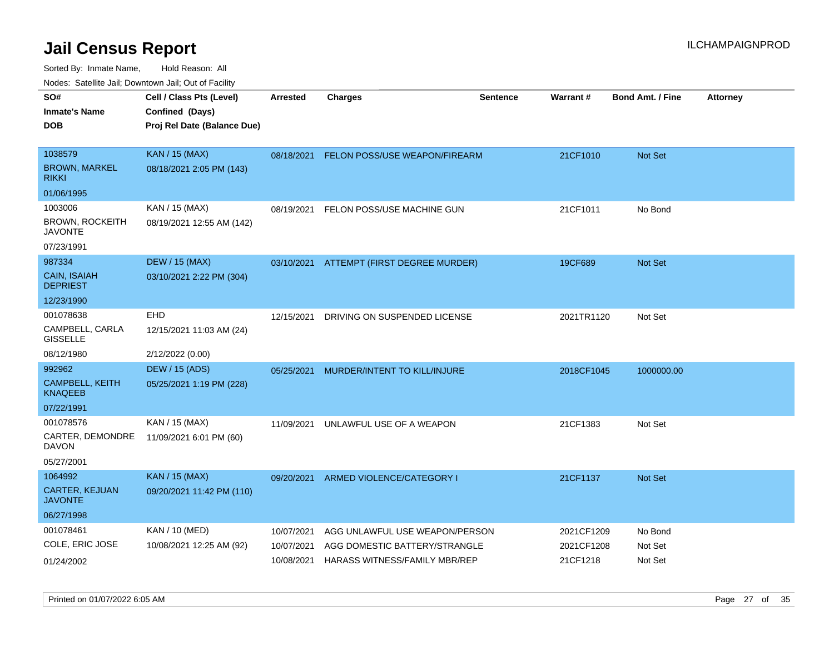| ivouss. Saleline Jali, Downtown Jali, Out of Facility |                             |                 |                                |                 |                 |                         |                 |
|-------------------------------------------------------|-----------------------------|-----------------|--------------------------------|-----------------|-----------------|-------------------------|-----------------|
| SO#                                                   | Cell / Class Pts (Level)    | <b>Arrested</b> | <b>Charges</b>                 | <b>Sentence</b> | <b>Warrant#</b> | <b>Bond Amt. / Fine</b> | <b>Attorney</b> |
| <b>Inmate's Name</b>                                  | Confined (Days)             |                 |                                |                 |                 |                         |                 |
| <b>DOB</b>                                            | Proj Rel Date (Balance Due) |                 |                                |                 |                 |                         |                 |
|                                                       |                             |                 |                                |                 |                 |                         |                 |
| 1038579                                               | <b>KAN / 15 (MAX)</b>       | 08/18/2021      | FELON POSS/USE WEAPON/FIREARM  |                 | 21CF1010        | Not Set                 |                 |
| <b>BROWN, MARKEL</b><br><b>RIKKI</b>                  | 08/18/2021 2:05 PM (143)    |                 |                                |                 |                 |                         |                 |
| 01/06/1995                                            |                             |                 |                                |                 |                 |                         |                 |
| 1003006                                               | KAN / 15 (MAX)              | 08/19/2021      | FELON POSS/USE MACHINE GUN     |                 | 21CF1011        | No Bond                 |                 |
| <b>BROWN, ROCKEITH</b><br>JAVONTE                     | 08/19/2021 12:55 AM (142)   |                 |                                |                 |                 |                         |                 |
| 07/23/1991                                            |                             |                 |                                |                 |                 |                         |                 |
| 987334                                                | <b>DEW / 15 (MAX)</b>       | 03/10/2021      | ATTEMPT (FIRST DEGREE MURDER)  |                 | 19CF689         | Not Set                 |                 |
| <b>CAIN, ISAIAH</b><br><b>DEPRIEST</b>                | 03/10/2021 2:22 PM (304)    |                 |                                |                 |                 |                         |                 |
| 12/23/1990                                            |                             |                 |                                |                 |                 |                         |                 |
| 001078638                                             | EHD                         | 12/15/2021      | DRIVING ON SUSPENDED LICENSE   |                 | 2021TR1120      | Not Set                 |                 |
| CAMPBELL, CARLA<br><b>GISSELLE</b>                    | 12/15/2021 11:03 AM (24)    |                 |                                |                 |                 |                         |                 |
| 08/12/1980                                            | 2/12/2022 (0.00)            |                 |                                |                 |                 |                         |                 |
| 992962                                                | DEW / 15 (ADS)              | 05/25/2021      | MURDER/INTENT TO KILL/INJURE   |                 | 2018CF1045      | 1000000.00              |                 |
| <b>CAMPBELL, KEITH</b><br><b>KNAQEEB</b>              | 05/25/2021 1:19 PM (228)    |                 |                                |                 |                 |                         |                 |
| 07/22/1991                                            |                             |                 |                                |                 |                 |                         |                 |
| 001078576                                             | KAN / 15 (MAX)              | 11/09/2021      | UNLAWFUL USE OF A WEAPON       |                 | 21CF1383        | Not Set                 |                 |
| CARTER, DEMONDRE<br>DAVON                             | 11/09/2021 6:01 PM (60)     |                 |                                |                 |                 |                         |                 |
| 05/27/2001                                            |                             |                 |                                |                 |                 |                         |                 |
| 1064992                                               | <b>KAN / 15 (MAX)</b>       | 09/20/2021      | ARMED VIOLENCE/CATEGORY I      |                 | 21CF1137        | <b>Not Set</b>          |                 |
| CARTER, KEJUAN<br><b>JAVONTE</b>                      | 09/20/2021 11:42 PM (110)   |                 |                                |                 |                 |                         |                 |
| 06/27/1998                                            |                             |                 |                                |                 |                 |                         |                 |
| 001078461                                             | <b>KAN / 10 (MED)</b>       | 10/07/2021      | AGG UNLAWFUL USE WEAPON/PERSON |                 | 2021CF1209      | No Bond                 |                 |
| COLE, ERIC JOSE                                       | 10/08/2021 12:25 AM (92)    | 10/07/2021      | AGG DOMESTIC BATTERY/STRANGLE  |                 | 2021CF1208      | Not Set                 |                 |
| 01/24/2002                                            |                             | 10/08/2021      | HARASS WITNESS/FAMILY MBR/REP  |                 | 21CF1218        | Not Set                 |                 |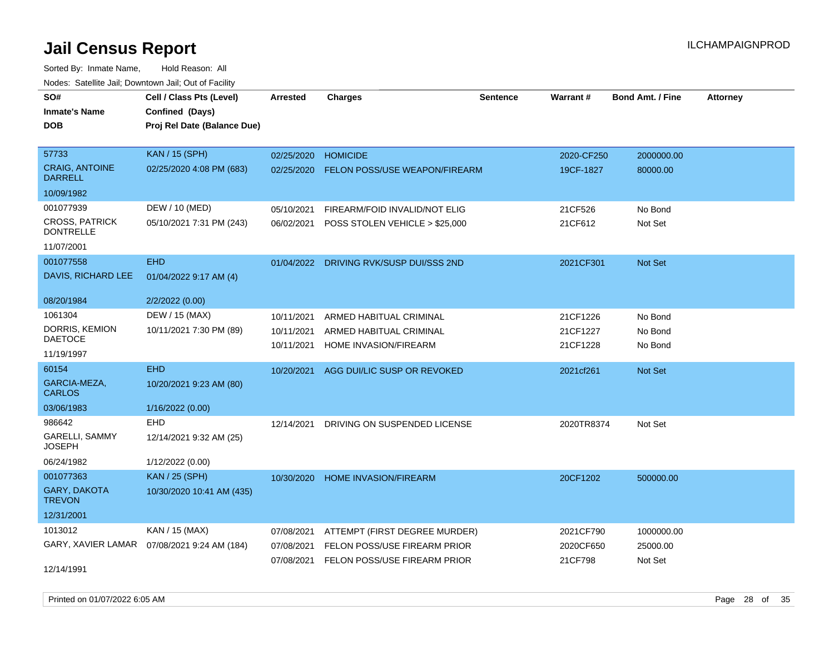| rouce. Calcinic Jan, Downtown Jan, Out or Facility |                                              |                 |                                         |                 |            |                         |                 |
|----------------------------------------------------|----------------------------------------------|-----------------|-----------------------------------------|-----------------|------------|-------------------------|-----------------|
| SO#                                                | Cell / Class Pts (Level)                     | <b>Arrested</b> | <b>Charges</b>                          | <b>Sentence</b> | Warrant#   | <b>Bond Amt. / Fine</b> | <b>Attorney</b> |
| <b>Inmate's Name</b>                               | Confined (Days)                              |                 |                                         |                 |            |                         |                 |
| <b>DOB</b>                                         | Proj Rel Date (Balance Due)                  |                 |                                         |                 |            |                         |                 |
|                                                    |                                              |                 |                                         |                 |            |                         |                 |
| 57733                                              | <b>KAN / 15 (SPH)</b>                        | 02/25/2020      | <b>HOMICIDE</b>                         |                 | 2020-CF250 | 2000000.00              |                 |
| <b>CRAIG, ANTOINE</b><br><b>DARRELL</b>            | 02/25/2020 4:08 PM (683)                     | 02/25/2020      | <b>FELON POSS/USE WEAPON/FIREARM</b>    |                 | 19CF-1827  | 80000.00                |                 |
| 10/09/1982                                         |                                              |                 |                                         |                 |            |                         |                 |
| 001077939                                          | DEW / 10 (MED)                               | 05/10/2021      | FIREARM/FOID INVALID/NOT ELIG           |                 | 21CF526    | No Bond                 |                 |
| <b>CROSS, PATRICK</b><br><b>DONTRELLE</b>          | 05/10/2021 7:31 PM (243)                     | 06/02/2021      | POSS STOLEN VEHICLE > \$25,000          |                 | 21CF612    | Not Set                 |                 |
| 11/07/2001                                         |                                              |                 |                                         |                 |            |                         |                 |
| 001077558                                          | <b>EHD</b>                                   |                 | 01/04/2022 DRIVING RVK/SUSP DUI/SSS 2ND |                 | 2021CF301  | Not Set                 |                 |
| DAVIS, RICHARD LEE                                 | 01/04/2022 9:17 AM (4)                       |                 |                                         |                 |            |                         |                 |
| 08/20/1984                                         | 2/2/2022 (0.00)                              |                 |                                         |                 |            |                         |                 |
| 1061304                                            | DEW / 15 (MAX)                               | 10/11/2021      | ARMED HABITUAL CRIMINAL                 |                 | 21CF1226   | No Bond                 |                 |
| DORRIS, KEMION                                     | 10/11/2021 7:30 PM (89)                      | 10/11/2021      | ARMED HABITUAL CRIMINAL                 |                 | 21CF1227   | No Bond                 |                 |
| <b>DAETOCE</b>                                     |                                              | 10/11/2021      | HOME INVASION/FIREARM                   |                 | 21CF1228   | No Bond                 |                 |
| 11/19/1997                                         |                                              |                 |                                         |                 |            |                         |                 |
| 60154                                              | <b>EHD</b>                                   |                 | 10/20/2021 AGG DUI/LIC SUSP OR REVOKED  |                 | 2021cf261  | Not Set                 |                 |
| GARCIA-MEZA,<br><b>CARLOS</b>                      | 10/20/2021 9:23 AM (80)                      |                 |                                         |                 |            |                         |                 |
| 03/06/1983                                         | 1/16/2022 (0.00)                             |                 |                                         |                 |            |                         |                 |
| 986642                                             | EHD                                          | 12/14/2021      | DRIVING ON SUSPENDED LICENSE            |                 | 2020TR8374 | Not Set                 |                 |
| GARELLI, SAMMY<br><b>JOSEPH</b>                    | 12/14/2021 9:32 AM (25)                      |                 |                                         |                 |            |                         |                 |
| 06/24/1982                                         | 1/12/2022 (0.00)                             |                 |                                         |                 |            |                         |                 |
| 001077363                                          | <b>KAN / 25 (SPH)</b>                        | 10/30/2020      | <b>HOME INVASION/FIREARM</b>            |                 | 20CF1202   | 500000.00               |                 |
| <b>GARY, DAKOTA</b><br><b>TREVON</b>               | 10/30/2020 10:41 AM (435)                    |                 |                                         |                 |            |                         |                 |
| 12/31/2001                                         |                                              |                 |                                         |                 |            |                         |                 |
| 1013012                                            | KAN / 15 (MAX)                               | 07/08/2021      | ATTEMPT (FIRST DEGREE MURDER)           |                 | 2021CF790  | 1000000.00              |                 |
|                                                    | GARY, XAVIER LAMAR  07/08/2021 9:24 AM (184) | 07/08/2021      | FELON POSS/USE FIREARM PRIOR            |                 | 2020CF650  | 25000.00                |                 |
|                                                    |                                              | 07/08/2021      | FELON POSS/USE FIREARM PRIOR            |                 | 21CF798    | Not Set                 |                 |
| 12/14/1991                                         |                                              |                 |                                         |                 |            |                         |                 |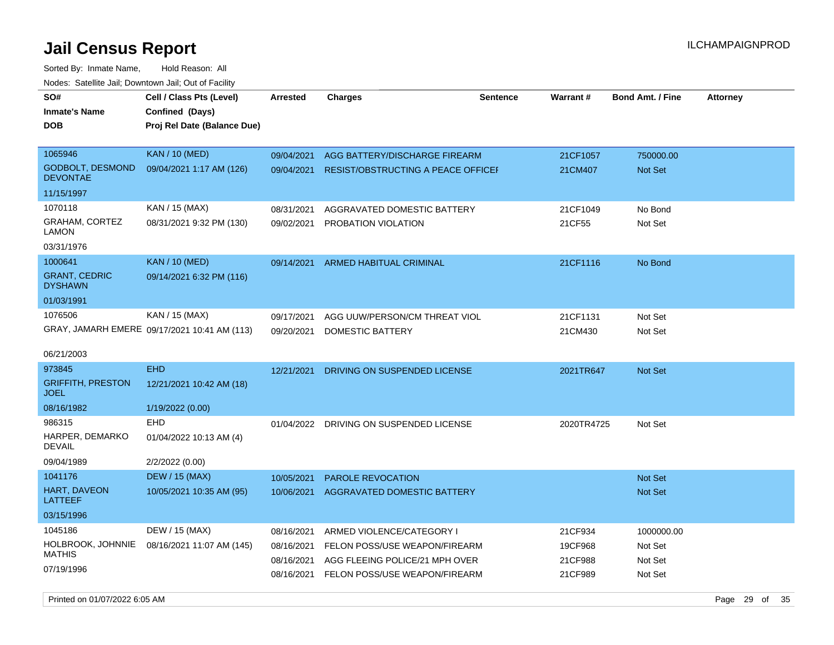Sorted By: Inmate Name, Hold Reason: All Nodes: Satellite Jail; Downtown Jail; Out of Facility

| roaco. Calcinio dan, Downtown dan, Out or Fability |                                                                            |            |                                    |                 |                 |                         |                 |
|----------------------------------------------------|----------------------------------------------------------------------------|------------|------------------------------------|-----------------|-----------------|-------------------------|-----------------|
| SO#<br><b>Inmate's Name</b><br><b>DOB</b>          | Cell / Class Pts (Level)<br>Confined (Days)<br>Proj Rel Date (Balance Due) | Arrested   | <b>Charges</b>                     | <b>Sentence</b> | <b>Warrant#</b> | <b>Bond Amt. / Fine</b> | <b>Attorney</b> |
| 1065946                                            | <b>KAN / 10 (MED)</b>                                                      | 09/04/2021 | AGG BATTERY/DISCHARGE FIREARM      |                 | 21CF1057        | 750000.00               |                 |
| <b>GODBOLT, DESMOND</b><br><b>DEVONTAE</b>         | 09/04/2021 1:17 AM (126)                                                   | 09/04/2021 | RESIST/OBSTRUCTING A PEACE OFFICEF |                 | 21CM407         | Not Set                 |                 |
| 11/15/1997                                         |                                                                            |            |                                    |                 |                 |                         |                 |
| 1070118                                            | KAN / 15 (MAX)                                                             | 08/31/2021 | AGGRAVATED DOMESTIC BATTERY        |                 | 21CF1049        | No Bond                 |                 |
| GRAHAM, CORTEZ<br>LAMON                            | 08/31/2021 9:32 PM (130)                                                   | 09/02/2021 | PROBATION VIOLATION                |                 | 21CF55          | Not Set                 |                 |
| 03/31/1976                                         |                                                                            |            |                                    |                 |                 |                         |                 |
| 1000641                                            | <b>KAN / 10 (MED)</b>                                                      | 09/14/2021 | <b>ARMED HABITUAL CRIMINAL</b>     |                 | 21CF1116        | No Bond                 |                 |
| <b>GRANT, CEDRIC</b><br><b>DYSHAWN</b>             | 09/14/2021 6:32 PM (116)                                                   |            |                                    |                 |                 |                         |                 |
| 01/03/1991                                         |                                                                            |            |                                    |                 |                 |                         |                 |
| 1076506                                            | KAN / 15 (MAX)                                                             | 09/17/2021 | AGG UUW/PERSON/CM THREAT VIOL      |                 | 21CF1131        | Not Set                 |                 |
|                                                    | GRAY, JAMARH EMERE 09/17/2021 10:41 AM (113)                               | 09/20/2021 | DOMESTIC BATTERY                   |                 | 21CM430         | Not Set                 |                 |
| 06/21/2003                                         |                                                                            |            |                                    |                 |                 |                         |                 |
| 973845                                             | <b>EHD</b>                                                                 | 12/21/2021 | DRIVING ON SUSPENDED LICENSE       |                 | 2021TR647       | Not Set                 |                 |
| <b>GRIFFITH, PRESTON</b><br><b>JOEL</b>            | 12/21/2021 10:42 AM (18)                                                   |            |                                    |                 |                 |                         |                 |
| 08/16/1982                                         | 1/19/2022 (0.00)                                                           |            |                                    |                 |                 |                         |                 |
| 986315                                             | EHD                                                                        | 01/04/2022 | DRIVING ON SUSPENDED LICENSE       |                 | 2020TR4725      | Not Set                 |                 |
| HARPER, DEMARKO<br><b>DEVAIL</b>                   | 01/04/2022 10:13 AM (4)                                                    |            |                                    |                 |                 |                         |                 |
| 09/04/1989                                         | 2/2/2022 (0.00)                                                            |            |                                    |                 |                 |                         |                 |
| 1041176                                            | <b>DEW / 15 (MAX)</b>                                                      | 10/05/2021 | <b>PAROLE REVOCATION</b>           |                 |                 | <b>Not Set</b>          |                 |
| <b>HART, DAVEON</b><br>LATTEEF                     | 10/05/2021 10:35 AM (95)                                                   | 10/06/2021 | AGGRAVATED DOMESTIC BATTERY        |                 |                 | <b>Not Set</b>          |                 |
| 03/15/1996                                         |                                                                            |            |                                    |                 |                 |                         |                 |
| 1045186                                            | DEW / 15 (MAX)                                                             | 08/16/2021 | ARMED VIOLENCE/CATEGORY I          |                 | 21CF934         | 1000000.00              |                 |
| HOLBROOK, JOHNNIE                                  | 08/16/2021 11:07 AM (145)                                                  | 08/16/2021 | FELON POSS/USE WEAPON/FIREARM      |                 | 19CF968         | Not Set                 |                 |
| MATHIS                                             |                                                                            | 08/16/2021 | AGG FLEEING POLICE/21 MPH OVER     |                 | 21CF988         | Not Set                 |                 |
| 07/19/1996                                         |                                                                            | 08/16/2021 | FELON POSS/USE WEAPON/FIREARM      |                 | 21CF989         | Not Set                 |                 |

Printed on 01/07/2022 6:05 AM Page 29 of 35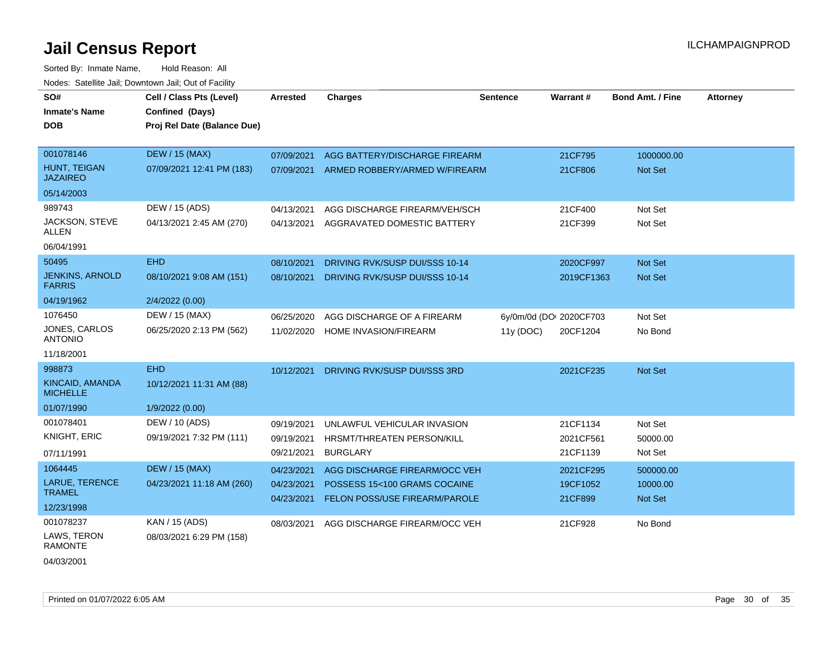Sorted By: Inmate Name, Hold Reason: All Nodes: Satellite Jail; Downtown Jail; Out of Facility

| SO#                                     | Cell / Class Pts (Level)    | <b>Arrested</b> | <b>Charges</b>                 | <b>Sentence</b> | Warrant#                | <b>Bond Amt. / Fine</b> | <b>Attorney</b> |
|-----------------------------------------|-----------------------------|-----------------|--------------------------------|-----------------|-------------------------|-------------------------|-----------------|
| <b>Inmate's Name</b>                    | Confined (Days)             |                 |                                |                 |                         |                         |                 |
| <b>DOB</b>                              | Proj Rel Date (Balance Due) |                 |                                |                 |                         |                         |                 |
|                                         |                             |                 |                                |                 |                         |                         |                 |
| 001078146                               | <b>DEW / 15 (MAX)</b>       | 07/09/2021      | AGG BATTERY/DISCHARGE FIREARM  |                 | 21CF795                 | 1000000.00              |                 |
| HUNT, TEIGAN<br><b>JAZAIREO</b>         | 07/09/2021 12:41 PM (183)   | 07/09/2021      | ARMED ROBBERY/ARMED W/FIREARM  |                 | 21CF806                 | Not Set                 |                 |
| 05/14/2003                              |                             |                 |                                |                 |                         |                         |                 |
| 989743                                  | DEW / 15 (ADS)              | 04/13/2021      | AGG DISCHARGE FIREARM/VEH/SCH  |                 | 21CF400                 | Not Set                 |                 |
| JACKSON, STEVE<br><b>ALLEN</b>          | 04/13/2021 2:45 AM (270)    | 04/13/2021      | AGGRAVATED DOMESTIC BATTERY    |                 | 21CF399                 | Not Set                 |                 |
| 06/04/1991                              |                             |                 |                                |                 |                         |                         |                 |
| 50495                                   | <b>EHD</b>                  | 08/10/2021      | DRIVING RVK/SUSP DUI/SSS 10-14 |                 | 2020CF997               | Not Set                 |                 |
| <b>JENKINS, ARNOLD</b><br><b>FARRIS</b> | 08/10/2021 9:08 AM (151)    | 08/10/2021      | DRIVING RVK/SUSP DUI/SSS 10-14 |                 | 2019CF1363              | <b>Not Set</b>          |                 |
| 04/19/1962                              | 2/4/2022 (0.00)             |                 |                                |                 |                         |                         |                 |
| 1076450                                 | DEW / 15 (MAX)              | 06/25/2020      | AGG DISCHARGE OF A FIREARM     |                 | 6y/0m/0d (DOI 2020CF703 | Not Set                 |                 |
| JONES, CARLOS<br><b>ANTONIO</b>         | 06/25/2020 2:13 PM (562)    | 11/02/2020      | <b>HOME INVASION/FIREARM</b>   | 11y (DOC)       | 20CF1204                | No Bond                 |                 |
| 11/18/2001                              |                             |                 |                                |                 |                         |                         |                 |
| 998873                                  | <b>EHD</b>                  | 10/12/2021      | DRIVING RVK/SUSP DUI/SSS 3RD   |                 | 2021CF235               | Not Set                 |                 |
| KINCAID, AMANDA<br><b>MICHELLE</b>      | 10/12/2021 11:31 AM (88)    |                 |                                |                 |                         |                         |                 |
| 01/07/1990                              | 1/9/2022 (0.00)             |                 |                                |                 |                         |                         |                 |
| 001078401                               | DEW / 10 (ADS)              | 09/19/2021      | UNLAWFUL VEHICULAR INVASION    |                 | 21CF1134                | Not Set                 |                 |
| <b>KNIGHT, ERIC</b>                     | 09/19/2021 7:32 PM (111)    | 09/19/2021      | HRSMT/THREATEN PERSON/KILL     |                 | 2021CF561               | 50000.00                |                 |
| 07/11/1991                              |                             | 09/21/2021      | <b>BURGLARY</b>                |                 | 21CF1139                | Not Set                 |                 |
| 1064445                                 | <b>DEW / 15 (MAX)</b>       | 04/23/2021      | AGG DISCHARGE FIREARM/OCC VEH  |                 | 2021CF295               | 500000.00               |                 |
| LARUE, TERENCE                          | 04/23/2021 11:18 AM (260)   | 04/23/2021      | POSSESS 15<100 GRAMS COCAINE   |                 | 19CF1052                | 10000.00                |                 |
| <b>TRAMEL</b>                           |                             | 04/23/2021      | FELON POSS/USE FIREARM/PAROLE  |                 | 21CF899                 | Not Set                 |                 |
| 12/23/1998                              |                             |                 |                                |                 |                         |                         |                 |
| 001078237                               | KAN / 15 (ADS)              | 08/03/2021      | AGG DISCHARGE FIREARM/OCC VEH  |                 | 21CF928                 | No Bond                 |                 |
| LAWS, TERON<br><b>RAMONTE</b>           | 08/03/2021 6:29 PM (158)    |                 |                                |                 |                         |                         |                 |

04/03/2001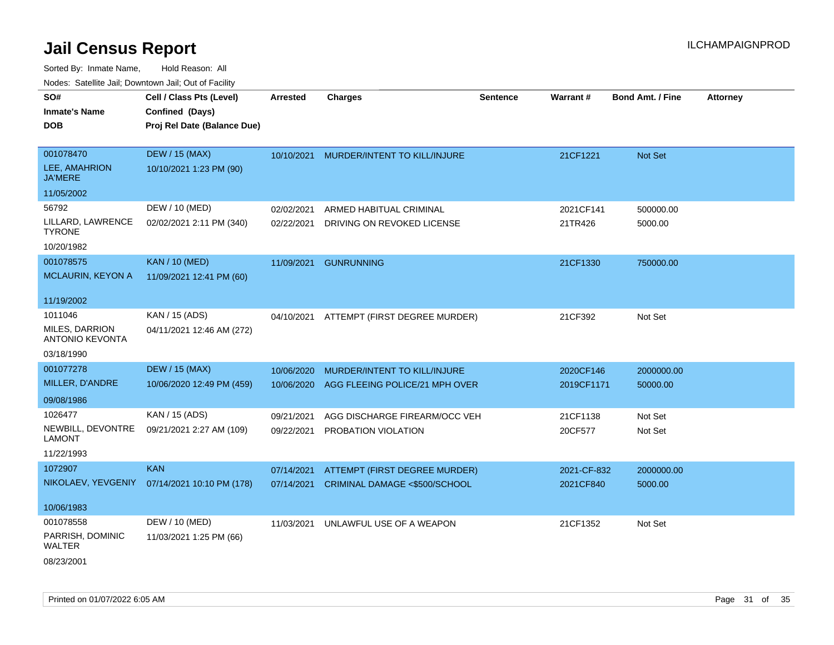| roaco. Catolino dall, Downtown dall, Out of Fability |                                                                            |                 |                                          |                 |                 |                         |                 |
|------------------------------------------------------|----------------------------------------------------------------------------|-----------------|------------------------------------------|-----------------|-----------------|-------------------------|-----------------|
| SO#<br><b>Inmate's Name</b><br><b>DOB</b>            | Cell / Class Pts (Level)<br>Confined (Days)<br>Proj Rel Date (Balance Due) | <b>Arrested</b> | <b>Charges</b>                           | <b>Sentence</b> | <b>Warrant#</b> | <b>Bond Amt. / Fine</b> | <b>Attorney</b> |
| 001078470                                            | <b>DEW / 15 (MAX)</b>                                                      | 10/10/2021      | MURDER/INTENT TO KILL/INJURE             |                 | 21CF1221        | Not Set                 |                 |
| LEE, AMAHRION<br><b>JA'MERE</b>                      | 10/10/2021 1:23 PM (90)                                                    |                 |                                          |                 |                 |                         |                 |
| 11/05/2002                                           |                                                                            |                 |                                          |                 |                 |                         |                 |
| 56792                                                | DEW / 10 (MED)                                                             | 02/02/2021      | ARMED HABITUAL CRIMINAL                  |                 | 2021CF141       | 500000.00               |                 |
| LILLARD, LAWRENCE<br><b>TYRONE</b>                   | 02/02/2021 2:11 PM (340)                                                   | 02/22/2021      | DRIVING ON REVOKED LICENSE               |                 | 21TR426         | 5000.00                 |                 |
| 10/20/1982                                           |                                                                            |                 |                                          |                 |                 |                         |                 |
| 001078575                                            | <b>KAN / 10 (MED)</b>                                                      | 11/09/2021      | <b>GUNRUNNING</b>                        |                 | 21CF1330        | 750000.00               |                 |
| MCLAURIN, KEYON A                                    | 11/09/2021 12:41 PM (60)                                                   |                 |                                          |                 |                 |                         |                 |
| 11/19/2002                                           |                                                                            |                 |                                          |                 |                 |                         |                 |
| 1011046                                              | KAN / 15 (ADS)                                                             |                 | 04/10/2021 ATTEMPT (FIRST DEGREE MURDER) |                 | 21CF392         | Not Set                 |                 |
| <b>MILES, DARRION</b><br><b>ANTONIO KEVONTA</b>      | 04/11/2021 12:46 AM (272)                                                  |                 |                                          |                 |                 |                         |                 |
| 03/18/1990                                           |                                                                            |                 |                                          |                 |                 |                         |                 |
| 001077278                                            | <b>DEW / 15 (MAX)</b>                                                      | 10/06/2020      | MURDER/INTENT TO KILL/INJURE             |                 | 2020CF146       | 2000000.00              |                 |
| MILLER, D'ANDRE                                      | 10/06/2020 12:49 PM (459)                                                  | 10/06/2020      | AGG FLEEING POLICE/21 MPH OVER           |                 | 2019CF1171      | 50000.00                |                 |
| 09/08/1986                                           |                                                                            |                 |                                          |                 |                 |                         |                 |
| 1026477                                              | KAN / 15 (ADS)                                                             | 09/21/2021      | AGG DISCHARGE FIREARM/OCC VEH            |                 | 21CF1138        | Not Set                 |                 |
| NEWBILL, DEVONTRE<br>LAMONT                          | 09/21/2021 2:27 AM (109)                                                   | 09/22/2021      | PROBATION VIOLATION                      |                 | 20CF577         | Not Set                 |                 |
| 11/22/1993                                           |                                                                            |                 |                                          |                 |                 |                         |                 |
| 1072907                                              | <b>KAN</b>                                                                 | 07/14/2021      | ATTEMPT (FIRST DEGREE MURDER)            |                 | 2021-CF-832     | 2000000.00              |                 |
|                                                      | NIKOLAEV, YEVGENIY 07/14/2021 10:10 PM (178)                               | 07/14/2021      | CRIMINAL DAMAGE <\$500/SCHOOL            |                 | 2021CF840       | 5000.00                 |                 |
| 10/06/1983                                           |                                                                            |                 |                                          |                 |                 |                         |                 |
| 001078558                                            | DEW / 10 (MED)                                                             | 11/03/2021      | UNLAWFUL USE OF A WEAPON                 |                 | 21CF1352        | Not Set                 |                 |
| PARRISH, DOMINIC<br>WALTER                           | 11/03/2021 1:25 PM (66)                                                    |                 |                                          |                 |                 |                         |                 |
| 08/23/2001                                           |                                                                            |                 |                                          |                 |                 |                         |                 |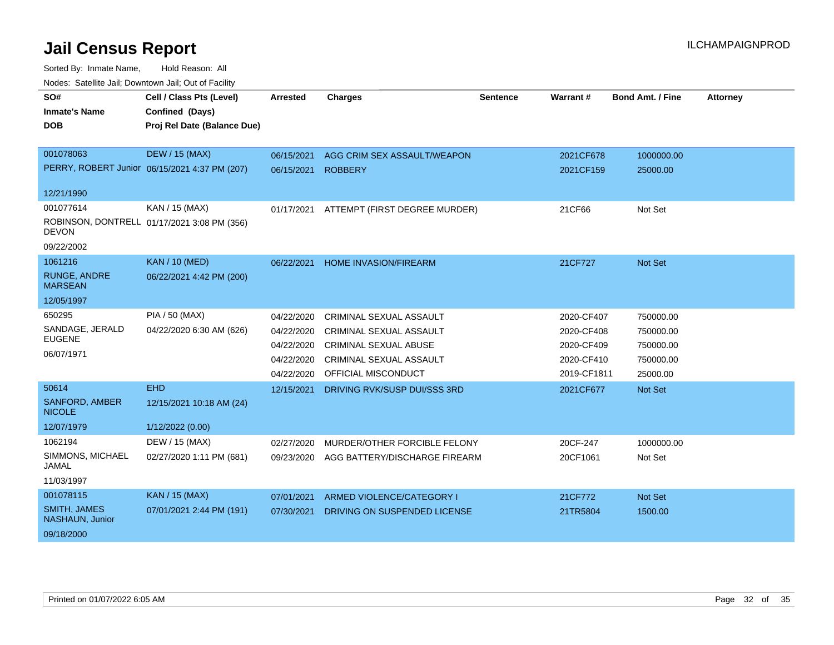| SO#                                    | Cell / Class Pts (Level)                      | <b>Arrested</b> | <b>Charges</b>                 | <b>Sentence</b> | Warrant#    | <b>Bond Amt. / Fine</b> | <b>Attorney</b> |
|----------------------------------------|-----------------------------------------------|-----------------|--------------------------------|-----------------|-------------|-------------------------|-----------------|
| <b>Inmate's Name</b>                   | Confined (Days)                               |                 |                                |                 |             |                         |                 |
| <b>DOB</b>                             | Proj Rel Date (Balance Due)                   |                 |                                |                 |             |                         |                 |
|                                        |                                               |                 |                                |                 |             |                         |                 |
| 001078063                              | <b>DEW / 15 (MAX)</b>                         | 06/15/2021      | AGG CRIM SEX ASSAULT/WEAPON    |                 | 2021CF678   | 1000000.00              |                 |
|                                        | PERRY, ROBERT Junior 06/15/2021 4:37 PM (207) | 06/15/2021      | <b>ROBBERY</b>                 |                 | 2021CF159   | 25000.00                |                 |
| 12/21/1990                             |                                               |                 |                                |                 |             |                         |                 |
| 001077614                              | KAN / 15 (MAX)                                | 01/17/2021      | ATTEMPT (FIRST DEGREE MURDER)  |                 | 21CF66      | Not Set                 |                 |
| <b>DEVON</b>                           | ROBINSON, DONTRELL 01/17/2021 3:08 PM (356)   |                 |                                |                 |             |                         |                 |
| 09/22/2002                             |                                               |                 |                                |                 |             |                         |                 |
| 1061216                                | <b>KAN / 10 (MED)</b>                         | 06/22/2021      | <b>HOME INVASION/FIREARM</b>   |                 | 21CF727     | Not Set                 |                 |
| <b>RUNGE, ANDRE</b><br><b>MARSEAN</b>  | 06/22/2021 4:42 PM (200)                      |                 |                                |                 |             |                         |                 |
| 12/05/1997                             |                                               |                 |                                |                 |             |                         |                 |
| 650295                                 | PIA / 50 (MAX)                                | 04/22/2020      | <b>CRIMINAL SEXUAL ASSAULT</b> |                 | 2020-CF407  | 750000.00               |                 |
| SANDAGE, JERALD                        | 04/22/2020 6:30 AM (626)                      | 04/22/2020      | CRIMINAL SEXUAL ASSAULT        |                 | 2020-CF408  | 750000.00               |                 |
| <b>EUGENE</b>                          |                                               | 04/22/2020      | <b>CRIMINAL SEXUAL ABUSE</b>   |                 | 2020-CF409  | 750000.00               |                 |
| 06/07/1971                             |                                               | 04/22/2020      | CRIMINAL SEXUAL ASSAULT        |                 | 2020-CF410  | 750000.00               |                 |
|                                        |                                               | 04/22/2020      | <b>OFFICIAL MISCONDUCT</b>     |                 | 2019-CF1811 | 25000.00                |                 |
| 50614                                  | <b>EHD</b>                                    | 12/15/2021      | DRIVING RVK/SUSP DUI/SSS 3RD   |                 | 2021CF677   | Not Set                 |                 |
| <b>SANFORD, AMBER</b><br><b>NICOLE</b> | 12/15/2021 10:18 AM (24)                      |                 |                                |                 |             |                         |                 |
| 12/07/1979                             | 1/12/2022 (0.00)                              |                 |                                |                 |             |                         |                 |
| 1062194                                | DEW / 15 (MAX)                                | 02/27/2020      | MURDER/OTHER FORCIBLE FELONY   |                 | 20CF-247    | 1000000.00              |                 |
| SIMMONS, MICHAEL<br><b>JAMAL</b>       | 02/27/2020 1:11 PM (681)                      | 09/23/2020      | AGG BATTERY/DISCHARGE FIREARM  |                 | 20CF1061    | Not Set                 |                 |
| 11/03/1997                             |                                               |                 |                                |                 |             |                         |                 |
| 001078115                              | KAN / 15 (MAX)                                | 07/01/2021      | ARMED VIOLENCE/CATEGORY I      |                 | 21CF772     | Not Set                 |                 |
| <b>SMITH, JAMES</b><br>NASHAUN, Junior | 07/01/2021 2:44 PM (191)                      | 07/30/2021      | DRIVING ON SUSPENDED LICENSE   |                 | 21TR5804    | 1500.00                 |                 |
| 09/18/2000                             |                                               |                 |                                |                 |             |                         |                 |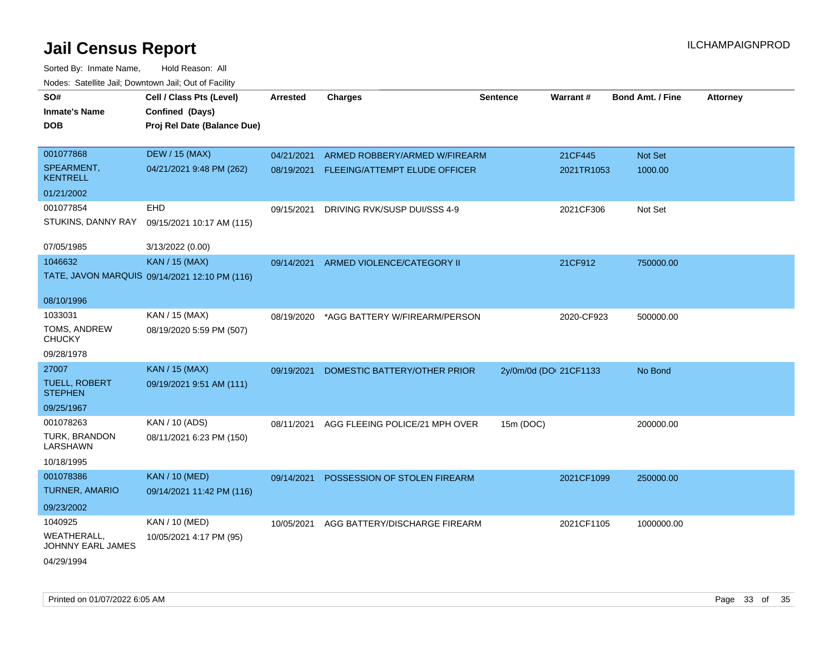| SO#                                     | Cell / Class Pts (Level)                      | <b>Arrested</b> | <b>Charges</b>                 | <b>Sentence</b>        | Warrant#   | <b>Bond Amt. / Fine</b> | <b>Attorney</b> |
|-----------------------------------------|-----------------------------------------------|-----------------|--------------------------------|------------------------|------------|-------------------------|-----------------|
| <b>Inmate's Name</b>                    | Confined (Days)                               |                 |                                |                        |            |                         |                 |
| <b>DOB</b>                              | Proj Rel Date (Balance Due)                   |                 |                                |                        |            |                         |                 |
|                                         |                                               |                 |                                |                        |            |                         |                 |
| 001077868                               | <b>DEW / 15 (MAX)</b>                         | 04/21/2021      | ARMED ROBBERY/ARMED W/FIREARM  |                        | 21CF445    | Not Set                 |                 |
| SPEARMENT,<br><b>KENTRELL</b>           | 04/21/2021 9:48 PM (262)                      | 08/19/2021      | FLEEING/ATTEMPT ELUDE OFFICER  |                        | 2021TR1053 | 1000.00                 |                 |
| 01/21/2002                              |                                               |                 |                                |                        |            |                         |                 |
| 001077854                               | <b>EHD</b>                                    | 09/15/2021      | DRIVING RVK/SUSP DUI/SSS 4-9   |                        | 2021CF306  | Not Set                 |                 |
| STUKINS, DANNY RAY                      | 09/15/2021 10:17 AM (115)                     |                 |                                |                        |            |                         |                 |
| 07/05/1985                              | 3/13/2022 (0.00)                              |                 |                                |                        |            |                         |                 |
| 1046632                                 | <b>KAN / 15 (MAX)</b>                         | 09/14/2021      | ARMED VIOLENCE/CATEGORY II     |                        | 21CF912    | 750000.00               |                 |
|                                         | TATE, JAVON MARQUIS 09/14/2021 12:10 PM (116) |                 |                                |                        |            |                         |                 |
| 08/10/1996                              |                                               |                 |                                |                        |            |                         |                 |
| 1033031                                 | KAN / 15 (MAX)                                | 08/19/2020      | *AGG BATTERY W/FIREARM/PERSON  |                        | 2020-CF923 | 500000.00               |                 |
| TOMS, ANDREW<br><b>CHUCKY</b>           | 08/19/2020 5:59 PM (507)                      |                 |                                |                        |            |                         |                 |
| 09/28/1978                              |                                               |                 |                                |                        |            |                         |                 |
| 27007                                   | <b>KAN / 15 (MAX)</b>                         | 09/19/2021      | DOMESTIC BATTERY/OTHER PRIOR   | 2y/0m/0d (DOI 21CF1133 |            | No Bond                 |                 |
| <b>TUELL, ROBERT</b><br><b>STEPHEN</b>  | 09/19/2021 9:51 AM (111)                      |                 |                                |                        |            |                         |                 |
| 09/25/1967                              |                                               |                 |                                |                        |            |                         |                 |
| 001078263                               | KAN / 10 (ADS)                                | 08/11/2021      | AGG FLEEING POLICE/21 MPH OVER | 15m (DOC)              |            | 200000.00               |                 |
| TURK, BRANDON<br>LARSHAWN               | 08/11/2021 6:23 PM (150)                      |                 |                                |                        |            |                         |                 |
| 10/18/1995                              |                                               |                 |                                |                        |            |                         |                 |
| 001078386                               | <b>KAN / 10 (MED)</b>                         | 09/14/2021      | POSSESSION OF STOLEN FIREARM   |                        | 2021CF1099 | 250000.00               |                 |
| <b>TURNER, AMARIO</b>                   | 09/14/2021 11:42 PM (116)                     |                 |                                |                        |            |                         |                 |
| 09/23/2002                              |                                               |                 |                                |                        |            |                         |                 |
| 1040925                                 | KAN / 10 (MED)                                | 10/05/2021      | AGG BATTERY/DISCHARGE FIREARM  |                        | 2021CF1105 | 1000000.00              |                 |
| <b>WEATHERALL,</b><br>JOHNNY EARL JAMES | 10/05/2021 4:17 PM (95)                       |                 |                                |                        |            |                         |                 |
| 04/29/1994                              |                                               |                 |                                |                        |            |                         |                 |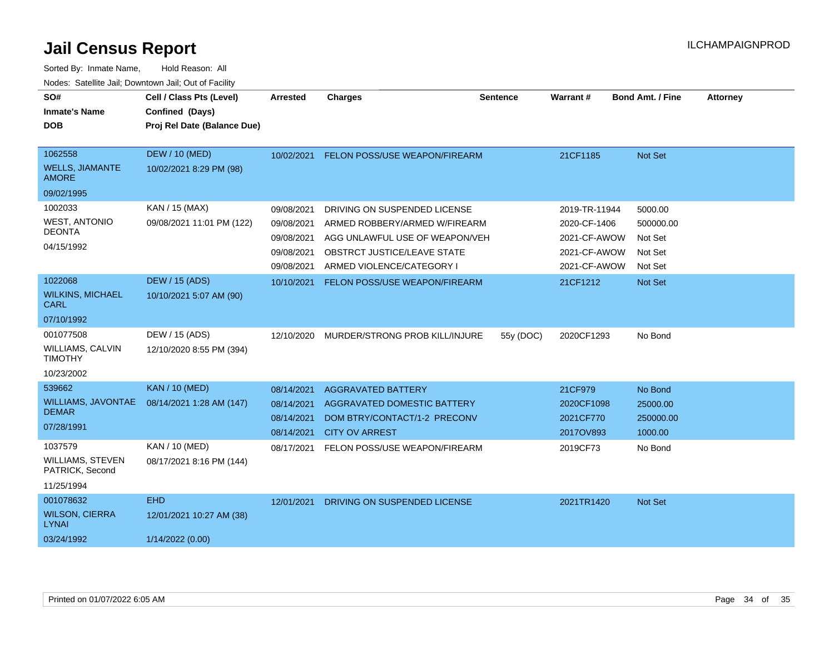| SO#<br><b>Inmate's Name</b><br><b>DOB</b>                           | Cell / Class Pts (Level)<br>Confined (Days)<br>Proj Rel Date (Balance Due) | <b>Arrested</b>                                                    | <b>Charges</b>                                                                                                                                              | <b>Sentence</b> | Warrant#                                                                      | <b>Bond Amt. / Fine</b>                               | <b>Attorney</b> |
|---------------------------------------------------------------------|----------------------------------------------------------------------------|--------------------------------------------------------------------|-------------------------------------------------------------------------------------------------------------------------------------------------------------|-----------------|-------------------------------------------------------------------------------|-------------------------------------------------------|-----------------|
| 1062558<br><b>WELLS, JIAMANTE</b><br><b>AMORE</b>                   | <b>DEW / 10 (MED)</b><br>10/02/2021 8:29 PM (98)                           |                                                                    | 10/02/2021 FELON POSS/USE WEAPON/FIREARM                                                                                                                    |                 | 21CF1185                                                                      | Not Set                                               |                 |
| 09/02/1995                                                          |                                                                            |                                                                    |                                                                                                                                                             |                 |                                                                               |                                                       |                 |
| 1002033<br><b>WEST, ANTONIO</b><br><b>DEONTA</b><br>04/15/1992      | KAN / 15 (MAX)<br>09/08/2021 11:01 PM (122)                                | 09/08/2021<br>09/08/2021<br>09/08/2021<br>09/08/2021<br>09/08/2021 | DRIVING ON SUSPENDED LICENSE<br>ARMED ROBBERY/ARMED W/FIREARM<br>AGG UNLAWFUL USE OF WEAPON/VEH<br>OBSTRCT JUSTICE/LEAVE STATE<br>ARMED VIOLENCE/CATEGORY I |                 | 2019-TR-11944<br>2020-CF-1406<br>2021-CF-AWOW<br>2021-CF-AWOW<br>2021-CF-AWOW | 5000.00<br>500000.00<br>Not Set<br>Not Set<br>Not Set |                 |
| 1022068<br><b>WILKINS, MICHAEL</b><br><b>CARL</b>                   | <b>DEW / 15 (ADS)</b><br>10/10/2021 5:07 AM (90)                           | 10/10/2021                                                         | FELON POSS/USE WEAPON/FIREARM                                                                                                                               |                 | 21CF1212                                                                      | Not Set                                               |                 |
| 07/10/1992                                                          |                                                                            |                                                                    |                                                                                                                                                             |                 |                                                                               |                                                       |                 |
| 001077508<br>WILLIAMS, CALVIN<br><b>TIMOTHY</b>                     | DEW / 15 (ADS)<br>12/10/2020 8:55 PM (394)                                 | 12/10/2020                                                         | MURDER/STRONG PROB KILL/INJURE                                                                                                                              | 55y (DOC)       | 2020CF1293                                                                    | No Bond                                               |                 |
| 10/23/2002                                                          |                                                                            |                                                                    |                                                                                                                                                             |                 |                                                                               |                                                       |                 |
| 539662<br><b>WILLIAMS, JAVONTAE</b><br><b>DEMAR</b><br>07/28/1991   | <b>KAN / 10 (MED)</b><br>08/14/2021 1:28 AM (147)                          | 08/14/2021<br>08/14/2021<br>08/14/2021<br>08/14/2021               | <b>AGGRAVATED BATTERY</b><br>AGGRAVATED DOMESTIC BATTERY<br>DOM BTRY/CONTACT/1-2 PRECONV<br><b>CITY OV ARREST</b>                                           |                 | 21CF979<br>2020CF1098<br>2021CF770<br>2017OV893                               | No Bond<br>25000.00<br>250000.00<br>1000.00           |                 |
| 1037579<br><b>WILLIAMS, STEVEN</b><br>PATRICK, Second<br>11/25/1994 | KAN / 10 (MED)<br>08/17/2021 8:16 PM (144)                                 | 08/17/2021                                                         | FELON POSS/USE WEAPON/FIREARM                                                                                                                               |                 | 2019CF73                                                                      | No Bond                                               |                 |
| 001078632<br><b>WILSON, CIERRA</b><br><b>LYNAI</b>                  | <b>EHD</b><br>12/01/2021 10:27 AM (38)                                     | 12/01/2021                                                         | DRIVING ON SUSPENDED LICENSE                                                                                                                                |                 | 2021TR1420                                                                    | Not Set                                               |                 |
| 03/24/1992                                                          | 1/14/2022 (0.00)                                                           |                                                                    |                                                                                                                                                             |                 |                                                                               |                                                       |                 |